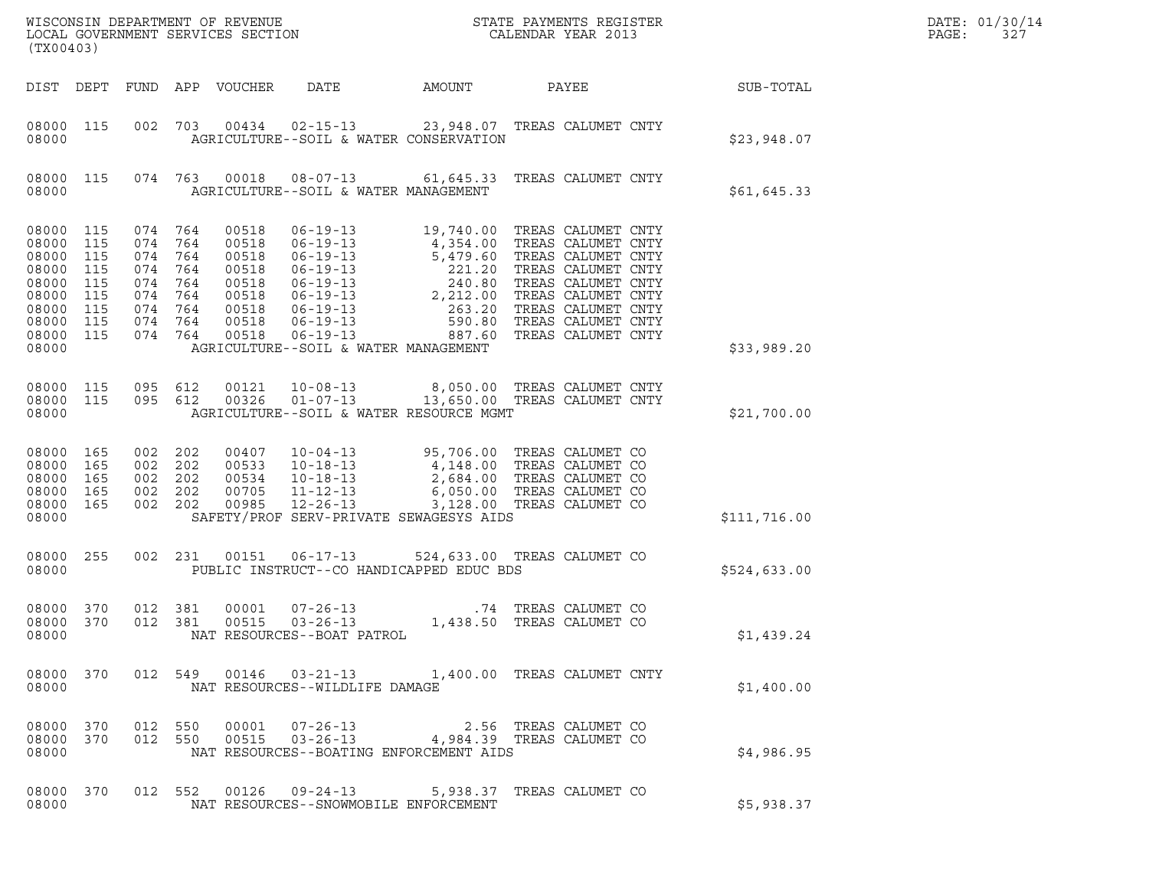| (TX00403)                                                                                  |                                                      |                                                                     |                                               | WISCONSIN DEPARTMENT OF REVENUE<br>LOCAL GOVERNMENT SERVICES SECTION          | ON                                                                               |                                                                                                                                                                                                                                                                                                                                              | STATE PAYMENTS REGISTER<br>CALENDAR YEAR 2013 |              | DATE: 01/30/14<br>PAGE:<br>327 |
|--------------------------------------------------------------------------------------------|------------------------------------------------------|---------------------------------------------------------------------|-----------------------------------------------|-------------------------------------------------------------------------------|----------------------------------------------------------------------------------|----------------------------------------------------------------------------------------------------------------------------------------------------------------------------------------------------------------------------------------------------------------------------------------------------------------------------------------------|-----------------------------------------------|--------------|--------------------------------|
|                                                                                            |                                                      |                                                                     |                                               | DIST DEPT FUND APP VOUCHER                                                    | DATE                                                                             | AMOUNT                                                                                                                                                                                                                                                                                                                                       | PAYEE                                         | SUB-TOTAL    |                                |
| 08000 115<br>08000                                                                         |                                                      |                                                                     |                                               |                                                                               | 002 703 00434 02-15-13                                                           | 23,948.07 TREAS CALUMET CNTY<br>AGRICULTURE--SOIL & WATER CONSERVATION                                                                                                                                                                                                                                                                       |                                               | \$23,948.07  |                                |
| 08000 115<br>08000                                                                         |                                                      |                                                                     |                                               | 074 763 00018                                                                 | AGRICULTURE--SOIL & WATER MANAGEMENT                                             | 08-07-13 61,645.33 TREAS CALUMET CNTY                                                                                                                                                                                                                                                                                                        |                                               | \$61,645.33  |                                |
| 08000 115<br>08000<br>08000<br>08000<br>08000<br>08000<br>08000<br>08000<br>08000<br>08000 | 115<br>115<br>115<br>115<br>115<br>115<br>115<br>115 | 074 764<br>074<br>074<br>074<br>074<br>074<br>074<br>074<br>074 764 | 764<br>764<br>764<br>764<br>764<br>764<br>764 | 00518<br>00518<br>00518<br>00518<br>00518<br>00518<br>00518<br>00518<br>00518 | $06 - 19 - 13$<br>06-19-13<br>AGRICULTURE--SOIL & WATER MANAGEMENT               | 06-19-13 19,740.00 TREAS CALUMET CNTY<br>4,354.00 TREAS CALUMET CNTY<br>06-19-13<br>06-19-13<br>06-19-13<br>06-19-13<br>06-19-13<br>06-19-13<br>2,20 TREAS CALUMET CNTY<br>06-19-13<br>2,20 TREAS CALUMET CNTY<br>06-19-13<br>06-19-13<br>06-19-13<br>06-19-13<br>06-19-13<br>06-19-13<br>06-19-13<br>06-19-13<br>06-19-13<br>06-19-13<br>06 |                                               | \$33,989.20  |                                |
| 08000 115<br>08000<br>08000                                                                | 115                                                  | 095 612<br>095 612                                                  |                                               | 00121<br>00326                                                                |                                                                                  | 10-08-13 8,050.00 TREAS CALUMET CNTY<br>01-07-13 13,650.00 TREAS CALUMET CNTY<br>AGRICULTURE--SOIL & WATER RESOURCE MGMT                                                                                                                                                                                                                     |                                               | \$21,700.00  |                                |
| 08000<br>08000<br>08000<br>08000<br>08000<br>08000                                         | 165<br>165<br>165<br>165<br>165                      | 002<br>002<br>002<br>002 202<br>002 202                             | 202<br>202<br>202                             | 00407<br>00533<br>00534<br>00705<br>00985                                     | $10 - 04 - 13$<br>$10 - 18 - 13$<br>$10 - 18 - 13$<br>11-12-13<br>$12 - 26 - 13$ | 95,706.00 TREAS CALUMET CO<br>4,148.00 TREAS CALUMET CO<br>2,684.00 TREAS CALUMET CO<br>6,050.00 TREAS CALUMET CO<br>3,128.00 TREAS CALUMET CO<br>SAFETY/PROF SERV-PRIVATE SEWAGESYS AIDS                                                                                                                                                    |                                               | \$111,716.00 |                                |
| 08000 255<br>08000                                                                         |                                                      | 002 231                                                             |                                               |                                                                               |                                                                                  | 524,633.00 TREAS CALUMET CO<br>PUBLIC INSTRUCT--CO HANDICAPPED EDUC BDS                                                                                                                                                                                                                                                                      |                                               | \$524,633.00 |                                |
| 08000 370<br>08000 370<br>08000                                                            |                                                      | 012 381<br>012 381                                                  |                                               | 00001<br>00515                                                                | $07 - 26 - 13$<br>$03 - 26 - 13$<br>NAT RESOURCES--BOAT PATROL                   | 1,438.50 TREAS CALUMET CO                                                                                                                                                                                                                                                                                                                    | .74 TREAS CALUMET CO                          | \$1,439.24   |                                |
| 08000                                                                                      |                                                      |                                                                     |                                               |                                                                               | NAT RESOURCES--WILDLIFE DAMAGE                                                   | 08000 370 012 549 00146 03-21-13 1,400.00 TREAS CALUMET CNTY                                                                                                                                                                                                                                                                                 |                                               | \$1,400.00   |                                |
| 08000 370<br>08000                                                                         |                                                      | 08000 370 012 550                                                   |                                               |                                                                               |                                                                                  | 012 550 00001 07-26-13 2.56 TREAS CALUMET CO<br>012 550 00515 03-26-13 4,984.39 TREAS CALUMET CO<br>NAT RESOURCES--BOATING ENFORCEMENT AIDS                                                                                                                                                                                                  |                                               | \$4,986.95   |                                |
| 08000 370<br>08000                                                                         |                                                      |                                                                     |                                               |                                                                               | NAT RESOURCES--SNOWMOBILE ENFORCEMENT                                            | 012 552 00126 09-24-13 5,938.37 TREAS CALUMET CO                                                                                                                                                                                                                                                                                             |                                               | \$5,938.37   |                                |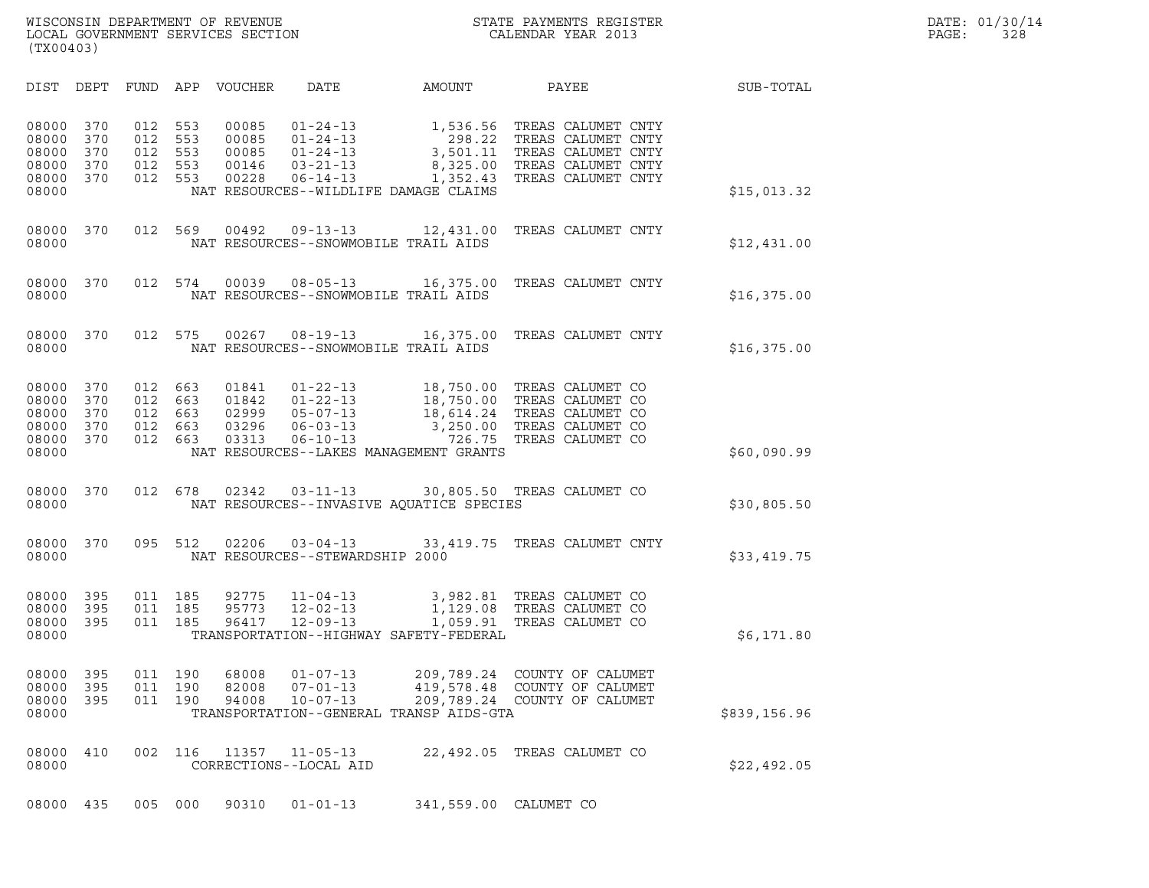WISCONSIN DEPARTMENT OF REVENUE<br>LOCAL GOVERNMENT SERVICES SECTION STATE PAYMENTS REGISTER SOLIS SUMMENTS REGISTER SAND PAGE: 01/30/14<br>DOCAL GOVERNMENT SERVICES SECTION WISCONSIN DEPARTMENT OF REVENUE<br>LOCAL GOVERNMENT SERVICES SECTION PARA PROPERTY CALENDAR YEAR 2013<br>(TX00403) (TX00403)

| (TX00403)                                          |                                 |                                 |                                 |                                           |                                                                                                                                  |                                                                     |                                                                                                            |              |  |
|----------------------------------------------------|---------------------------------|---------------------------------|---------------------------------|-------------------------------------------|----------------------------------------------------------------------------------------------------------------------------------|---------------------------------------------------------------------|------------------------------------------------------------------------------------------------------------|--------------|--|
| DIST                                               | DEPT                            | FUND                            | APP                             | VOUCHER                                   | DATE                                                                                                                             | AMOUNT                                                              | PAYEE                                                                                                      | SUB-TOTAL    |  |
| 08000<br>08000<br>08000<br>08000<br>08000<br>08000 | 370<br>370<br>370<br>370<br>370 | 012<br>012<br>012<br>012<br>012 | 553<br>553<br>553<br>553<br>553 | 00085<br>00085<br>00085<br>00146<br>00228 | $01 - 24 - 13$<br>$01 - 24 - 13$<br>$01 - 24 - 13$<br>$03 - 21 - 13$<br>$06 - 14 - 13$<br>NAT RESOURCES--WILDLIFE DAMAGE CLAIMS  | 1,536.56<br>298.22<br>3,501.11<br>8,325.00<br>1,352.43              | TREAS CALUMET CNTY<br>TREAS CALUMET CNTY<br>TREAS CALUMET CNTY<br>TREAS CALUMET CNTY<br>TREAS CALUMET CNTY | \$15,013.32  |  |
| 08000<br>08000                                     | 370                             | 012                             | 569                             | 00492                                     | $09 - 13 - 13$<br>NAT RESOURCES--SNOWMOBILE TRAIL AIDS                                                                           | 12,431.00                                                           | TREAS CALUMET CNTY                                                                                         | \$12,431.00  |  |
| 08000<br>08000                                     | 370                             | 012                             | 574                             | 00039                                     | $08 - 05 - 13$<br>NAT RESOURCES--SNOWMOBILE TRAIL AIDS                                                                           | 16,375.00                                                           | TREAS CALUMET CNTY                                                                                         | \$16,375.00  |  |
| 08000<br>08000                                     | 370                             | 012                             | 575                             | 00267                                     | $08 - 19 - 13$<br>NAT RESOURCES--SNOWMOBILE TRAIL AIDS                                                                           | 16,375.00                                                           | TREAS CALUMET CNTY                                                                                         | \$16,375.00  |  |
| 08000<br>08000<br>08000<br>08000<br>08000<br>08000 | 370<br>370<br>370<br>370<br>370 | 012<br>012<br>012<br>012<br>012 | 663<br>663<br>663<br>663<br>663 | 01841<br>01842<br>02999<br>03296<br>03313 | $01 - 22 - 13$<br>$01 - 22 - 13$<br>$05 - 07 - 13$<br>$06 - 03 - 13$<br>$06 - 10 - 13$<br>NAT RESOURCES--LAKES MANAGEMENT GRANTS | 18,750.00<br>18,614.24<br>3,250.00<br>726.75                        | 18,750.00 TREAS CALUMET CO<br>TREAS CALUMET CO<br>TREAS CALUMET CO<br>TREAS CALUMET CO<br>TREAS CALUMET CO | \$60,090.99  |  |
| 08000<br>08000                                     | 370                             | 012                             | 678                             | 02342                                     | $03 - 11 - 13$                                                                                                                   | NAT RESOURCES--INVASIVE AQUATICE SPECIES                            | 30,805.50 TREAS CALUMET CO                                                                                 | \$30,805.50  |  |
| 08000<br>08000                                     | 370                             | 095                             | 512                             | 02206                                     | $03 - 04 - 13$<br>NAT RESOURCES--STEWARDSHIP 2000                                                                                | 33,419.75                                                           | TREAS CALUMET CNTY                                                                                         | \$33,419.75  |  |
| 08000<br>08000<br>08000<br>08000                   | 395<br>395<br>395               | 011<br>011<br>011               | 185<br>185<br>185               | 92775<br>95773<br>96417                   | $11 - 04 - 13$<br>$12 - 02 - 13$<br>$12 - 09 - 13$<br>TRANSPORTATION--HIGHWAY SAFETY-FEDERAL                                     | 1,129.08<br>1,059.91                                                | 3,982.81 TREAS CALUMET CO<br>TREAS CALUMET CO<br>TREAS CALUMET CO                                          | \$6,171.80   |  |
| 08000<br>08000<br>08000<br>08000                   | 395<br>395<br>- 395             | 011<br>011                      | 190<br>190                      | 68008<br>82008                            | $01 - 07 - 13$<br>$07 - 01 - 13$                                                                                                 | 209,789.24<br>419,578.48<br>TRANSPORTATION--GENERAL TRANSP AIDS-GTA | COUNTY OF CALUMET<br>COUNTY OF CALUMET<br>011  190  94008  10-07-13  209,789.24  COUNTY OF CALUMET         | \$839,156.96 |  |
| 08000<br>08000                                     | 410                             | 002                             | 116                             | 11357                                     | $11 - 05 - 13$<br>CORRECTIONS--LOCAL AID                                                                                         |                                                                     | 22,492.05 TREAS CALUMET CO                                                                                 | \$22,492.05  |  |
| 08000 435                                          |                                 | 005 000                         |                                 | 90310                                     | $01 - 01 - 13$                                                                                                                   | 341,559.00 CALUMET CO                                               |                                                                                                            |              |  |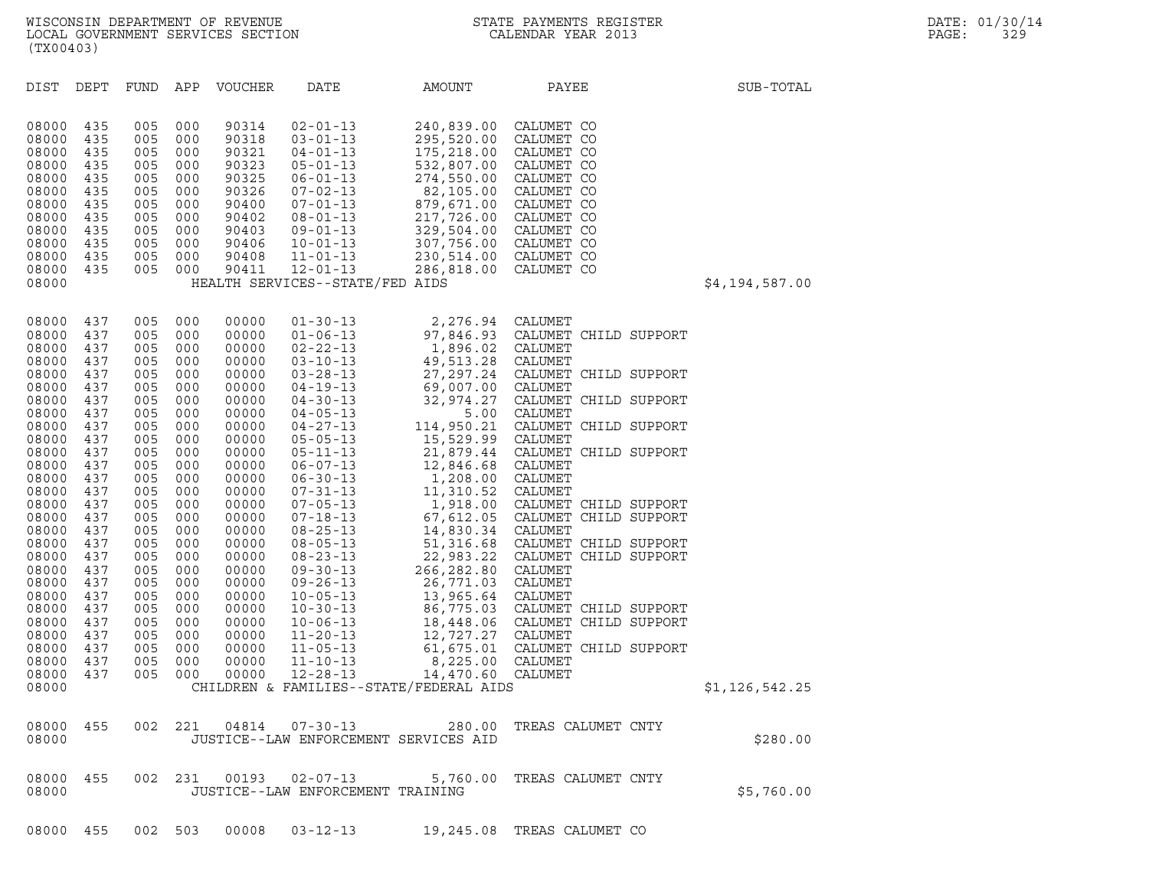| (TX00403)                                                                                                                                                                                                   |                                                                                                                                                               |                                                                                                                                                               |                                                                                                                                                               |                                                                                                                                                                                                             |                                                                                                                                                                                                                                                                                                                                                                                                                      |                                                                                                                                                                                                                                                    |                                                                                                                                                                                                                                                                                                                                                                                                         |                |
|-------------------------------------------------------------------------------------------------------------------------------------------------------------------------------------------------------------|---------------------------------------------------------------------------------------------------------------------------------------------------------------|---------------------------------------------------------------------------------------------------------------------------------------------------------------|---------------------------------------------------------------------------------------------------------------------------------------------------------------|-------------------------------------------------------------------------------------------------------------------------------------------------------------------------------------------------------------|----------------------------------------------------------------------------------------------------------------------------------------------------------------------------------------------------------------------------------------------------------------------------------------------------------------------------------------------------------------------------------------------------------------------|----------------------------------------------------------------------------------------------------------------------------------------------------------------------------------------------------------------------------------------------------|---------------------------------------------------------------------------------------------------------------------------------------------------------------------------------------------------------------------------------------------------------------------------------------------------------------------------------------------------------------------------------------------------------|----------------|
| DIST                                                                                                                                                                                                        | DEPT                                                                                                                                                          | FUND                                                                                                                                                          | APP                                                                                                                                                           | <b>VOUCHER</b>                                                                                                                                                                                              | DATE                                                                                                                                                                                                                                                                                                                                                                                                                 | AMOUNT                                                                                                                                                                                                                                             | PAYEE                                                                                                                                                                                                                                                                                                                                                                                                   | SUB-TOTAL      |
| 08000<br>08000<br>08000<br>08000<br>08000<br>08000<br>08000<br>08000<br>08000<br>08000<br>08000<br>08000<br>08000                                                                                           | 435<br>435<br>435<br>435<br>435<br>435<br>435<br>435<br>435<br>435<br>435<br>435                                                                              | 005<br>005<br>005<br>005<br>005<br>005<br>005<br>005<br>005<br>005<br>005<br>005                                                                              | 000<br>000<br>000<br>000<br>000<br>000<br>000<br>000<br>000<br>000<br>000<br>000                                                                              | 90314<br>90318<br>90321<br>90323<br>90325<br>90326<br>90400<br>90402<br>90403<br>90406<br>90408<br>90411                                                                                                    | $02 - 01 - 13$<br>$03 - 01 - 13$<br>$04 - 01 - 13$<br>$05 - 01 - 13$<br>$06 - 01 - 13$<br>$07 - 02 - 13$<br>$07 - 01 - 13$<br>$08 - 01 - 13$<br>$09 - 01 - 13$<br>$10 - 01 - 13$<br>$11 - 01 - 13$<br>$12 - 01 - 13$<br>HEALTH SERVICES--STATE/FED AIDS                                                                                                                                                              | 240,839.00<br>295,520.00<br>175,218.00<br>532,807.00 CALUMET CO<br>274,550.00<br>82,105.00<br>879,671.00 CALUMET CO<br>217,726.00 CALUMET CO<br>329,504.00 CALUMET CO<br>307,756.00 CALUMET CO<br>230, 514.00 CALUMET CO<br>286, 818.00 CALUMET CO | CALUMET CO<br>CALUMET CO<br>CALUMET CO<br>CALUMET CO<br>CALUMET CO                                                                                                                                                                                                                                                                                                                                      | \$4,194,587.00 |
|                                                                                                                                                                                                             |                                                                                                                                                               |                                                                                                                                                               |                                                                                                                                                               |                                                                                                                                                                                                             |                                                                                                                                                                                                                                                                                                                                                                                                                      |                                                                                                                                                                                                                                                    |                                                                                                                                                                                                                                                                                                                                                                                                         |                |
| 08000<br>08000<br>08000<br>08000<br>08000<br>08000<br>08000<br>08000<br>08000<br>08000<br>08000<br>08000<br>08000<br>08000<br>08000<br>08000<br>08000<br>08000<br>08000<br>08000<br>08000<br>08000<br>08000 | 437<br>437<br>437<br>437<br>437<br>437<br>437<br>437<br>437<br>437<br>437<br>437<br>437<br>437<br>437<br>437<br>437<br>437<br>437<br>437<br>437<br>437<br>437 | 005<br>005<br>005<br>005<br>005<br>005<br>005<br>005<br>005<br>005<br>005<br>005<br>005<br>005<br>005<br>005<br>005<br>005<br>005<br>005<br>005<br>005<br>005 | 000<br>000<br>000<br>000<br>000<br>000<br>000<br>000<br>000<br>000<br>000<br>000<br>000<br>000<br>000<br>000<br>000<br>000<br>000<br>000<br>000<br>000<br>000 | 00000<br>00000<br>00000<br>00000<br>00000<br>00000<br>00000<br>00000<br>00000<br>00000<br>00000<br>00000<br>00000<br>00000<br>00000<br>00000<br>00000<br>00000<br>00000<br>00000<br>00000<br>00000<br>00000 | $01 - 30 - 13$<br>$01 - 06 - 13$<br>$02 - 22 - 13$<br>$03 - 10 - 13$<br>$03 - 28 - 13$<br>$04 - 19 - 13$<br>$04 - 30 - 13$<br>$04 - 05 - 13$<br>04-27-13<br>$05 - 05 - 13$<br>$05 - 11 - 13$<br>$06 - 07 - 13$<br>$06 - 30 - 13$<br>$07 - 31 - 13$<br>$07 - 05 - 13$<br>$07 - 18 - 13$<br>$08 - 25 - 13$<br>$08 - 05 - 13$<br>$08 - 23 - 13$<br>$09 - 30 - 13$<br>$09 - 26 - 13$<br>$10 - 05 - 13$<br>$10 - 30 - 13$ | 2,276.94 CALUMET<br>1,896.02 CALUMET<br>49,513.28<br>69,007.00 CALUMET<br>32,974.27<br>5.00<br>15,529.99<br>21,879.44<br>12,846.68<br>1,208.00<br>11,310.52<br>14,830.34 CALUMET<br>266,282.80<br>26,771.03<br>13,965.64                           | 97,846.93 CALUMET CHILD SUPPORT<br>CALUMET<br>27, 297.24 CALUMET CHILD SUPPORT<br>CALUMET CHILD SUPPORT<br>CALUMET<br>114,950.21 CALUMET CHILD SUPPORT<br>CALUMET<br>CALUMET CHILD SUPPORT<br>CALUMET<br>CALUMET<br>CALUMET<br>1,918.00 CALUMET CHILD SUPPORT<br>67,612.05 CALUMET CHILD SUPPORT<br>51,316.68 CALUMET CHILD SUPPORT<br>22,983.22 CALUMET CHILD SUPPORT<br>CALUMET<br>CALUMET<br>CALUMET |                |
| 08000<br>08000                                                                                                                                                                                              | 437<br>437                                                                                                                                                    | 005<br>005                                                                                                                                                    | 000<br>000                                                                                                                                                    | 00000<br>00000                                                                                                                                                                                              | $10 - 06 - 13$<br>$11 - 20 - 13$                                                                                                                                                                                                                                                                                                                                                                                     | 12,727.27 CALUMET                                                                                                                                                                                                                                  | 86,775.03 CALUMET CHILD SUPPORT<br>18,448.06 CALUMET CHILD SUPPORT                                                                                                                                                                                                                                                                                                                                      |                |
| 08000<br>08000<br>08000                                                                                                                                                                                     | 437<br>437<br>437                                                                                                                                             | 005<br>005<br>005                                                                                                                                             | 000<br>000<br>000                                                                                                                                             | 00000<br>00000<br>00000                                                                                                                                                                                     | $11 - 05 - 13$<br>$11 - 10 - 13$<br>$12 - 28 - 13$                                                                                                                                                                                                                                                                                                                                                                   | 8,225.00<br>14,470.60                                                                                                                                                                                                                              | 61,675.01 CALUMET CHILD SUPPORT<br>CALUMET<br>CALUMET                                                                                                                                                                                                                                                                                                                                                   |                |
| 08000                                                                                                                                                                                                       |                                                                                                                                                               |                                                                                                                                                               |                                                                                                                                                               |                                                                                                                                                                                                             |                                                                                                                                                                                                                                                                                                                                                                                                                      | CHILDREN & FAMILIES--STATE/FEDERAL AIDS                                                                                                                                                                                                            |                                                                                                                                                                                                                                                                                                                                                                                                         | \$1,126,542.25 |
| 08000<br>08000                                                                                                                                                                                              | 455                                                                                                                                                           | 002                                                                                                                                                           | 221                                                                                                                                                           | 04814                                                                                                                                                                                                       | $07 - 30 - 13$<br>JUSTICE--LAW ENFORCEMENT SERVICES AID                                                                                                                                                                                                                                                                                                                                                              | 280.00                                                                                                                                                                                                                                             | TREAS CALUMET CNTY                                                                                                                                                                                                                                                                                                                                                                                      | \$280.00       |
| 08000<br>08000                                                                                                                                                                                              | 455                                                                                                                                                           | 002                                                                                                                                                           | 231                                                                                                                                                           | 00193                                                                                                                                                                                                       | $02 - 07 - 13$<br>JUSTICE--LAW ENFORCEMENT TRAINING                                                                                                                                                                                                                                                                                                                                                                  | 5,760.00                                                                                                                                                                                                                                           | TREAS CALUMET CNTY                                                                                                                                                                                                                                                                                                                                                                                      | \$5,760.00     |

08000 455 002 503 00008 03-12-13 19,245.08 TREAS CALUMET CO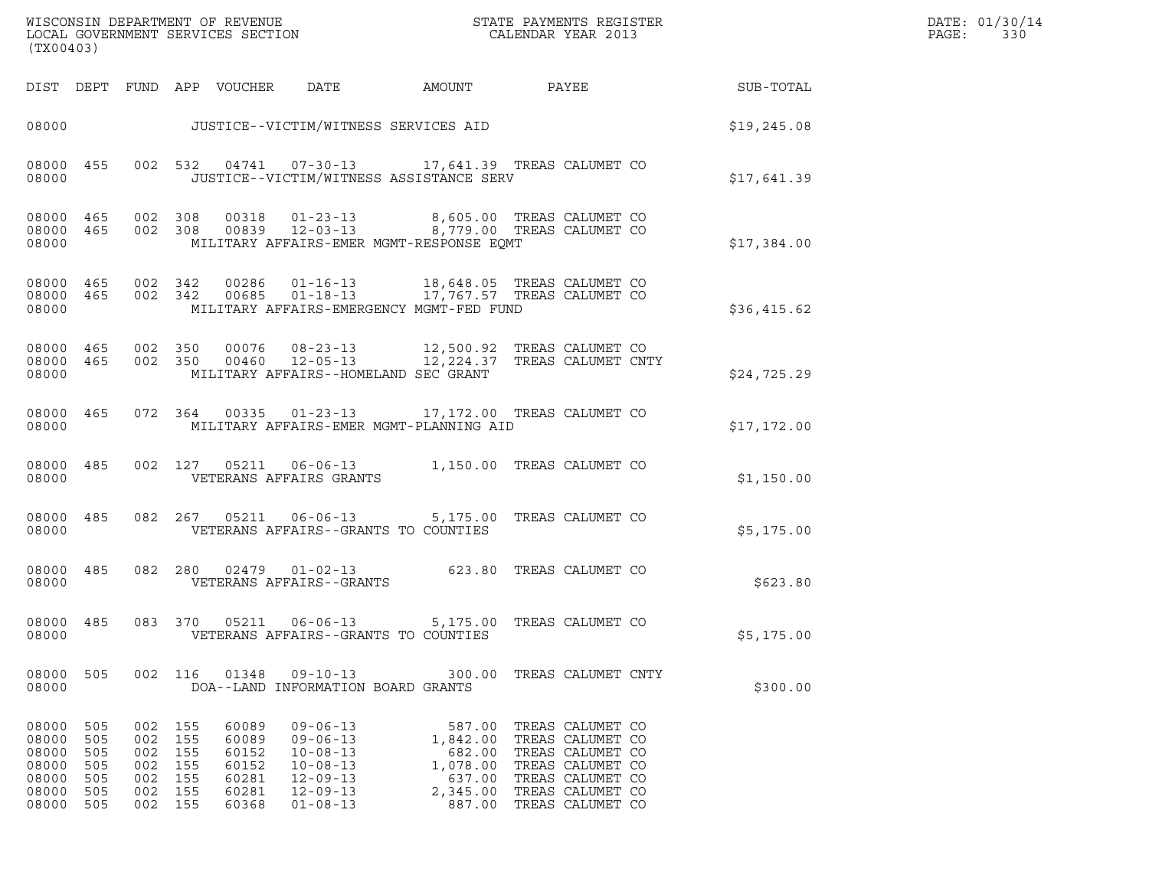| WISCONSIN DEPARTMENT OF REVENUE   | STATE PAYMENTS REGISTER | DATE: 01/30/14 |
|-----------------------------------|-------------------------|----------------|
| LOCAL GOVERNMENT SERVICES SECTION | CALENDAR YEAR 2013      | 330<br>PAGE :  |

| (TX00403)                                                   |                                               | WISCONSIN DEPARTMENT OF REVENUE<br>LOCAL GOVERNMENT SERVICES SECTION |                                               | STATE PAYMENTS REGISTER<br>CALENDAR YEAR 2013               |                                                                                                                                                    |                                                                          |  |                                                                                                                                          |             |
|-------------------------------------------------------------|-----------------------------------------------|----------------------------------------------------------------------|-----------------------------------------------|-------------------------------------------------------------|----------------------------------------------------------------------------------------------------------------------------------------------------|--------------------------------------------------------------------------|--|------------------------------------------------------------------------------------------------------------------------------------------|-------------|
|                                                             |                                               |                                                                      |                                               | DIST DEPT FUND APP VOUCHER                                  | DATE                                                                                                                                               | <b>AMOUNT</b>                                                            |  | PAYEE                                                                                                                                    | SUB-TOTAL   |
| 08000                                                       |                                               |                                                                      |                                               |                                                             | JUSTICE--VICTIM/WITNESS SERVICES AID                                                                                                               |                                                                          |  |                                                                                                                                          | \$19,245.08 |
| 08000 455<br>08000                                          |                                               |                                                                      | 002 532                                       |                                                             | 04741  07-30-13  17,641.39  TREAS CALUMET CO<br>JUSTICE--VICTIM/WITNESS ASSISTANCE SERV                                                            |                                                                          |  |                                                                                                                                          | \$17,641.39 |
| 08000 465<br>08000 465<br>08000                             |                                               | 002                                                                  | 002 308                                       |                                                             | 308  00318  01-23-13  8,605.00 TREAS CALUMET CO<br>308  00839  12-03-13  8,779.00 TREAS CALUMET CO<br>MILITARY AFFAIRS-EMER MGMT-RESPONSE EOMT     |                                                                          |  |                                                                                                                                          | \$17,384.00 |
| 08000<br>08000                                              | 08000 465<br>465                              |                                                                      |                                               |                                                             | 002 342 00286 01-16-13 18,648.05 TREAS CALUMET CO<br>002 342 00685 01-18-13 17,767.57 TREAS CALUMET CO<br>MILITARY AFFAIRS-EMERGENCY MGMT-FED FUND |                                                                          |  |                                                                                                                                          | \$36,415.62 |
| 08000 465<br>08000                                          | 08000 465                                     |                                                                      | 002 350                                       |                                                             | 00076  08-23-13  12,500.92  TREAS CALUMET CO<br>002 350 00460 12-05-13<br>MILITARY AFFAIRS--HOMELAND SEC GRANT                                     | 12,224.37 TREAS CALUMET CNTY                                             |  |                                                                                                                                          | \$24,725.29 |
| 08000 465<br>08000                                          |                                               |                                                                      |                                               |                                                             | 072  364  00335  01-23-13  17,172.00  TREAS CALUMET CO<br>MILITARY AFFAIRS-EMER MGMT-PLANNING AID                                                  |                                                                          |  |                                                                                                                                          | \$17,172.00 |
| 08000 485<br>08000                                          |                                               |                                                                      | 002 127                                       |                                                             | 05211  06-06-13  1,150.00 TREAS CALUMET CO<br>VETERANS AFFAIRS GRANTS                                                                              |                                                                          |  |                                                                                                                                          | \$1,150.00  |
| 08000<br>08000                                              | 485                                           |                                                                      |                                               |                                                             | 082  267  05211  06-06-13  5,175.00 TREAS CALUMET CO<br>VETERANS AFFAIRS--GRANTS TO COUNTIES                                                       |                                                                          |  |                                                                                                                                          | \$5,175.00  |
| 08000<br>08000                                              | 485                                           |                                                                      |                                               |                                                             | 082 280 02479 01-02-13<br>VETERANS AFFAIRS--GRANTS                                                                                                 | 623.80 TREAS CALUMET CO                                                  |  |                                                                                                                                          | \$623.80    |
| 08000<br>08000                                              | 485                                           |                                                                      | 083 370                                       |                                                             | 05211  06-06-13  5,175.00 TREAS CALUMET CO<br>VETERANS AFFAIRS--GRANTS TO COUNTIES                                                                 |                                                                          |  |                                                                                                                                          | \$5,175.00  |
| 08000<br>08000                                              | 505                                           | 002                                                                  | 116                                           | 01348                                                       | $09 - 10 - 13$<br>DOA--LAND INFORMATION BOARD GRANTS                                                                                               | 300.00                                                                   |  | TREAS CALUMET CNTY                                                                                                                       | \$300.00    |
| 08000<br>08000<br>08000<br>08000<br>08000<br>08000<br>08000 | 505<br>505<br>505<br>505<br>505<br>505<br>505 | 002<br>002<br>002<br>002<br>002<br>002<br>002                        | 155<br>155<br>155<br>155<br>155<br>155<br>155 | 60089<br>60089<br>60152<br>60152<br>60281<br>60281<br>60368 | $09 - 06 - 13$<br>$09 - 06 - 13$<br>$10 - 08 - 13$<br>$10 - 08 - 13$<br>$12 - 09 - 13$<br>$12 - 09 - 13$<br>$01 - 08 - 13$                         | 587.00<br>1,842.00<br>682.00<br>1,078.00<br>637.00<br>2,345.00<br>887.00 |  | TREAS CALUMET CO<br>TREAS CALUMET CO<br>TREAS CALUMET CO<br>TREAS CALUMET CO<br>TREAS CALUMET CO<br>TREAS CALUMET CO<br>TREAS CALUMET CO |             |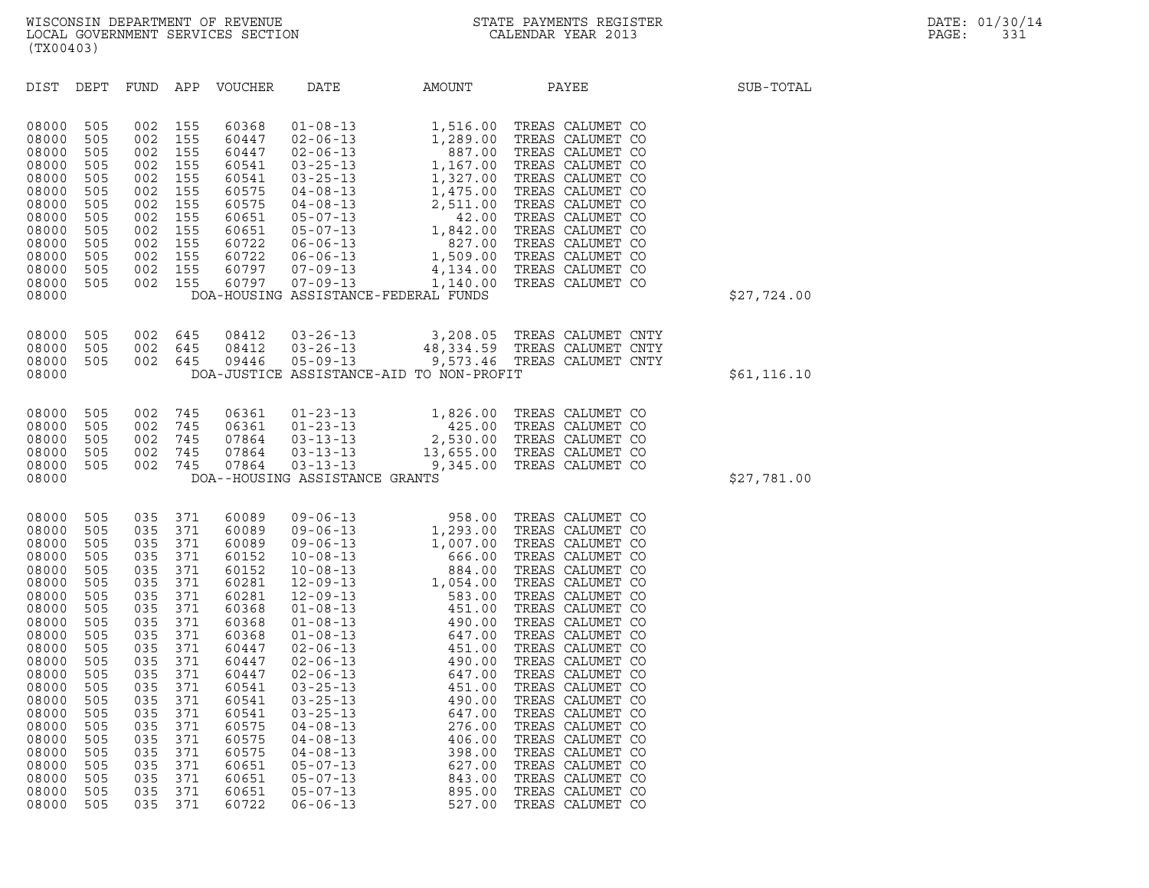| (TX00403)                                                                                                                                                                                                   |                                                                                                                                                               |                                                                                                                                                               |                                                                                                                                                               |                                                                                                                                                                                                             |                                                                                                                                                                                                                                                                                                                                                                                                                            |                                                                                                                                                                                                                                          |                                                                                                                                                                                                                                                                                                                                                                                                                                                                          |              |
|-------------------------------------------------------------------------------------------------------------------------------------------------------------------------------------------------------------|---------------------------------------------------------------------------------------------------------------------------------------------------------------|---------------------------------------------------------------------------------------------------------------------------------------------------------------|---------------------------------------------------------------------------------------------------------------------------------------------------------------|-------------------------------------------------------------------------------------------------------------------------------------------------------------------------------------------------------------|----------------------------------------------------------------------------------------------------------------------------------------------------------------------------------------------------------------------------------------------------------------------------------------------------------------------------------------------------------------------------------------------------------------------------|------------------------------------------------------------------------------------------------------------------------------------------------------------------------------------------------------------------------------------------|--------------------------------------------------------------------------------------------------------------------------------------------------------------------------------------------------------------------------------------------------------------------------------------------------------------------------------------------------------------------------------------------------------------------------------------------------------------------------|--------------|
| DIST                                                                                                                                                                                                        | DEPT                                                                                                                                                          | FUND                                                                                                                                                          | APP                                                                                                                                                           | <b>VOUCHER</b>                                                                                                                                                                                              | DATE                                                                                                                                                                                                                                                                                                                                                                                                                       | AMOUNT                                                                                                                                                                                                                                   | PAYEE                                                                                                                                                                                                                                                                                                                                                                                                                                                                    | SUB-TOTAL    |
| 08000<br>08000<br>08000<br>08000<br>08000<br>08000<br>08000<br>08000<br>08000<br>08000<br>08000<br>08000<br>08000<br>08000                                                                                  | 505<br>505<br>505<br>505<br>505<br>505<br>505<br>505<br>505<br>505<br>505<br>505<br>505                                                                       | 002<br>002<br>002<br>002<br>002<br>002<br>002<br>002<br>002<br>002<br>002<br>002<br>002                                                                       | 155<br>155<br>155<br>155<br>155<br>155<br>155<br>155<br>155<br>155<br>155<br>155<br>155                                                                       | 60368<br>60447<br>60447<br>60541<br>60541<br>60575<br>60575<br>60651<br>60651<br>60722<br>60722<br>60797<br>60797                                                                                           | $01 - 08 - 13$<br>$02 - 06 - 13$<br>$02 - 06 - 13$<br>$03 - 25 - 13$<br>$03 - 25 - 13$<br>$04 - 08 - 13$<br>$04 - 08 - 13$<br>$05 - 07 - 13$<br>$05 - 07 - 13$<br>$06 - 06 - 13$<br>$06 - 06 - 13$<br>$07 - 09 - 13$<br>$07 - 09 - 13$                                                                                                                                                                                     | 1,516.00<br>1,289.00<br>887.00<br>1,167.00<br>1,327.00<br>1,475.00<br>2,511.00<br>42.00<br>1,842.00<br>827.00<br>1,509.00<br>4,134.00<br>1,140.00<br>DOA-HOUSING ASSISTANCE-FEDERAL FUNDS                                                | TREAS CALUMET CO<br>TREAS CALUMET CO<br>TREAS CALUMET CO<br>TREAS CALUMET CO<br>TREAS CALUMET CO<br>TREAS CALUMET CO<br>TREAS CALUMET CO<br>TREAS CALUMET CO<br>TREAS CALUMET CO<br>TREAS CALUMET CO<br>TREAS CALUMET CO<br>TREAS CALUMET CO<br>TREAS CALUMET CO                                                                                                                                                                                                         | \$27,724.00  |
| 08000<br>08000<br>08000<br>08000                                                                                                                                                                            | 505<br>505<br>505                                                                                                                                             | 002<br>002<br>002                                                                                                                                             | 645<br>645<br>645                                                                                                                                             | 08412<br>08412<br>09446                                                                                                                                                                                     | $03 - 26 - 13$<br>$03 - 26 - 13$<br>$05 - 09 - 13$                                                                                                                                                                                                                                                                                                                                                                         | 3,208.05<br>48,334.59<br>DOA-JUSTICE ASSISTANCE-AID TO NON-PROFIT                                                                                                                                                                        | TREAS CALUMET CNTY<br>TREAS CALUMET CNTY<br>9,573.46 TREAS CALUMET CNTY                                                                                                                                                                                                                                                                                                                                                                                                  | \$61, 116.10 |
| 08000<br>08000<br>08000<br>08000<br>08000<br>08000                                                                                                                                                          | 505<br>505<br>505<br>505<br>505                                                                                                                               | 002<br>002<br>002<br>002<br>002                                                                                                                               | 745<br>745<br>745<br>745<br>745                                                                                                                               | 06361<br>06361<br>07864<br>07864<br>07864                                                                                                                                                                   | $01 - 23 - 13$<br>$01 - 23 - 13$<br>$03 - 13 - 13$<br>$03 - 13 - 13$<br>$03 - 13 - 13$<br>DOA--HOUSING ASSISTANCE GRANTS                                                                                                                                                                                                                                                                                                   | 1,826.00<br>425.00<br>2,530.00<br>13,655.00<br>9,345.00                                                                                                                                                                                  | TREAS CALUMET CO<br>TREAS CALUMET CO<br>TREAS CALUMET CO<br>TREAS CALUMET CO<br>TREAS CALUMET CO                                                                                                                                                                                                                                                                                                                                                                         | \$27,781.00  |
| 08000<br>08000<br>08000<br>08000<br>08000<br>08000<br>08000<br>08000<br>08000<br>08000<br>08000<br>08000<br>08000<br>08000<br>08000<br>08000<br>08000<br>08000<br>08000<br>08000<br>08000<br>08000<br>08000 | 505<br>505<br>505<br>505<br>505<br>505<br>505<br>505<br>505<br>505<br>505<br>505<br>505<br>505<br>505<br>505<br>505<br>505<br>505<br>505<br>505<br>505<br>505 | 035<br>035<br>035<br>035<br>035<br>035<br>035<br>035<br>035<br>035<br>035<br>035<br>035<br>035<br>035<br>035<br>035<br>035<br>035<br>035<br>035<br>035<br>035 | 371<br>371<br>371<br>371<br>371<br>371<br>371<br>371<br>371<br>371<br>371<br>371<br>371<br>371<br>371<br>371<br>371<br>371<br>371<br>371<br>371<br>371<br>371 | 60089<br>60089<br>60089<br>60152<br>60152<br>60281<br>60281<br>60368<br>60368<br>60368<br>60447<br>60447<br>60447<br>60541<br>60541<br>60541<br>60575<br>60575<br>60575<br>60651<br>60651<br>60651<br>60722 | $09 - 06 - 13$<br>$09 - 06 - 13$<br>$09 - 06 - 13$<br>$10 - 08 - 13$<br>$10 - 08 - 13$<br>$12 - 09 - 13$<br>$12 - 09 - 13$<br>$01 - 08 - 13$<br>$01 - 08 - 13$<br>$01 - 08 - 13$<br>$02 - 06 - 13$<br>$02 - 06 - 13$<br>$02 - 06 - 13$<br>$03 - 25 - 13$<br>$03 - 25 - 13$<br>$03 - 25 - 13$<br>$04 - 08 - 13$<br>$04 - 08 - 13$<br>$04 - 08 - 13$<br>$05 - 07 - 13$<br>$05 - 07 - 13$<br>$05 - 07 - 13$<br>$06 - 06 - 13$ | 958.00<br>1,293.00<br>1,007.00<br>666.00<br>884.00<br>1,054.00<br>583.00<br>451.00<br>490.00<br>647.00<br>451.00<br>490.00<br>647.00<br>451.00<br>490.00<br>647.00<br>276.00<br>406.00<br>398.00<br>627.00<br>843.00<br>895.00<br>527.00 | TREAS CALUMET CO<br>TREAS CALUMET CO<br>TREAS CALUMET CO<br>TREAS CALUMET CO<br>TREAS CALUMET CO<br>TREAS CALUMET CO<br>TREAS CALUMET CO<br>TREAS CALUMET CO<br>TREAS CALUMET CO<br>TREAS CALUMET CO<br>TREAS CALUMET CO<br>TREAS CALUMET CO<br>TREAS CALUMET CO<br>TREAS CALUMET CO<br>TREAS CALUMET CO<br>TREAS CALUMET CO<br>TREAS CALUMET CO<br>TREAS CALUMET CO<br>TREAS CALUMET CO<br>TREAS CALUMET CO<br>TREAS CALUMET CO<br>TREAS CALUMET CO<br>TREAS CALUMET CO |              |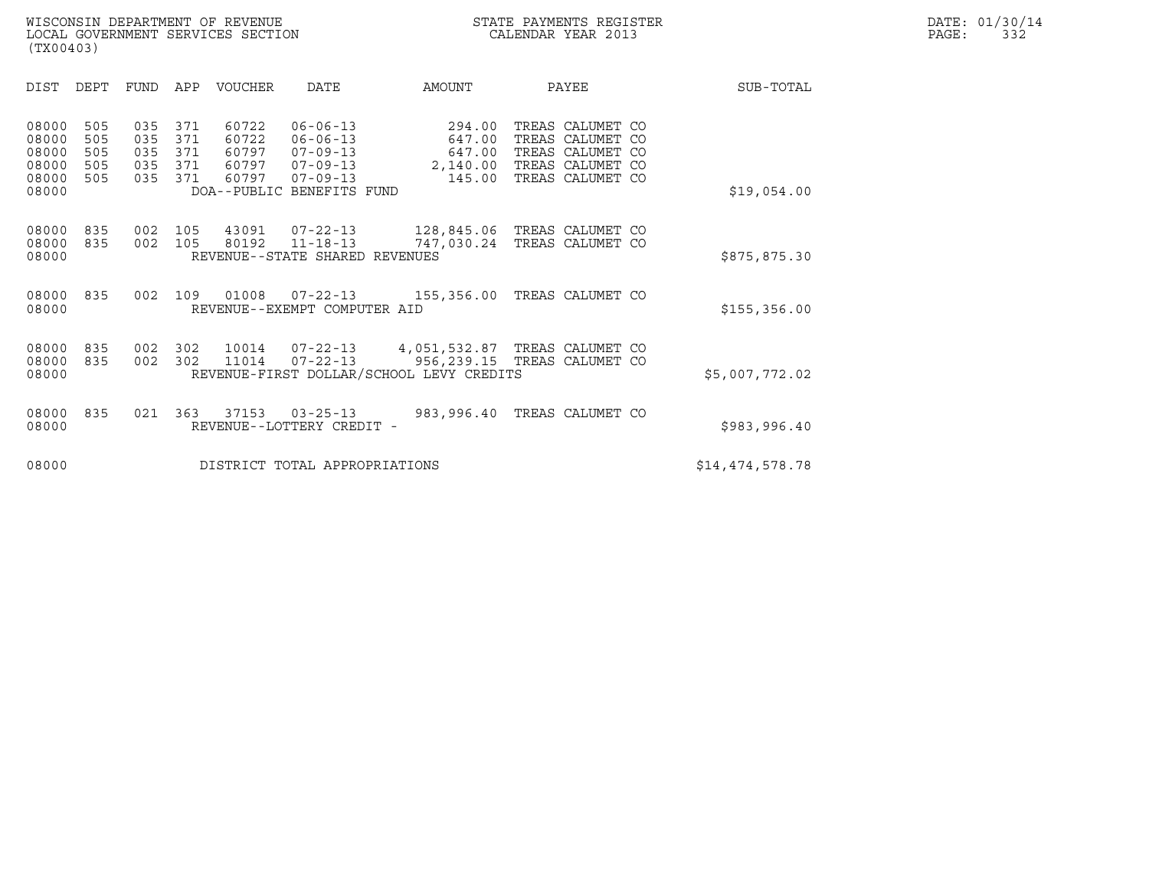| (TX00403)                                                                             |                                                                    |                                                                                                                                                            |                                                  |                                                                                               |                    |
|---------------------------------------------------------------------------------------|--------------------------------------------------------------------|------------------------------------------------------------------------------------------------------------------------------------------------------------|--------------------------------------------------|-----------------------------------------------------------------------------------------------|--------------------|
| DIST<br>DEPT                                                                          | <b>FUND</b><br>APP                                                 | <b>VOUCHER</b><br><b>DATE</b>                                                                                                                              | AMOUNT                                           | PAYEE                                                                                         | SUB-TOTAL          |
| 08000<br>505<br>08000<br>505<br>08000<br>505<br>08000<br>505<br>08000<br>505<br>08000 | 371<br>035<br>035<br>371<br>035<br>371<br>035<br>371<br>035<br>371 | 60722<br>$06 - 06 - 13$<br>60722<br>$06 - 06 - 13$<br>60797<br>$07 - 09 - 13$<br>60797<br>07-09-13<br>60797<br>$07 - 09 - 13$<br>DOA--PUBLIC BENEFITS FUND | 294.00<br>647.00<br>647.00<br>2,140.00<br>145.00 | TREAS CALUMET CO<br>TREAS CALUMET CO<br>TREAS CALUMET<br>TREAS CALUMET CO<br>TREAS CALUMET CO | CO.<br>\$19,054.00 |
| 08000<br>835<br>835<br>08000<br>08000                                                 | 002<br>105<br>105<br>002                                           | 43091<br>$07 - 22 - 13$<br>80192<br>$11 - 18 - 13$<br>REVENUE--STATE SHARED REVENUES                                                                       | 747,030.24                                       | 128,845.06 TREAS CALUMET CO<br>TREAS CALUMET CO                                               | \$875,875.30       |
| 08000<br>835<br>08000                                                                 | 002<br>109                                                         | 01008<br>$07 - 22 - 13$<br>REVENUE--EXEMPT COMPUTER AID                                                                                                    | 155,356.00                                       | TREAS CALUMET CO                                                                              | \$155, 356.00      |
| 08000<br>835<br>08000<br>835<br>08000                                                 | 002<br>302<br>302<br>002                                           | 10014<br>07-22-13<br>$07 - 22 - 13$<br>11014<br>REVENUE-FIRST DOLLAR/SCHOOL LEVY CREDITS                                                                   | 4,051,532.87                                     | TREAS CALUMET CO<br>956,239.15 TREAS CALUMET CO                                               | \$5,007,772.02     |
| 08000<br>835<br>08000                                                                 | 021<br>363                                                         | 37153<br>$03 - 25 - 13$<br>REVENUE--LOTTERY CREDIT -                                                                                                       | 983,996.40                                       | TREAS CALUMET CO                                                                              | \$983,996.40       |
| 08000                                                                                 |                                                                    | DISTRICT TOTAL APPROPRIATIONS                                                                                                                              |                                                  |                                                                                               | \$14,474,578.78    |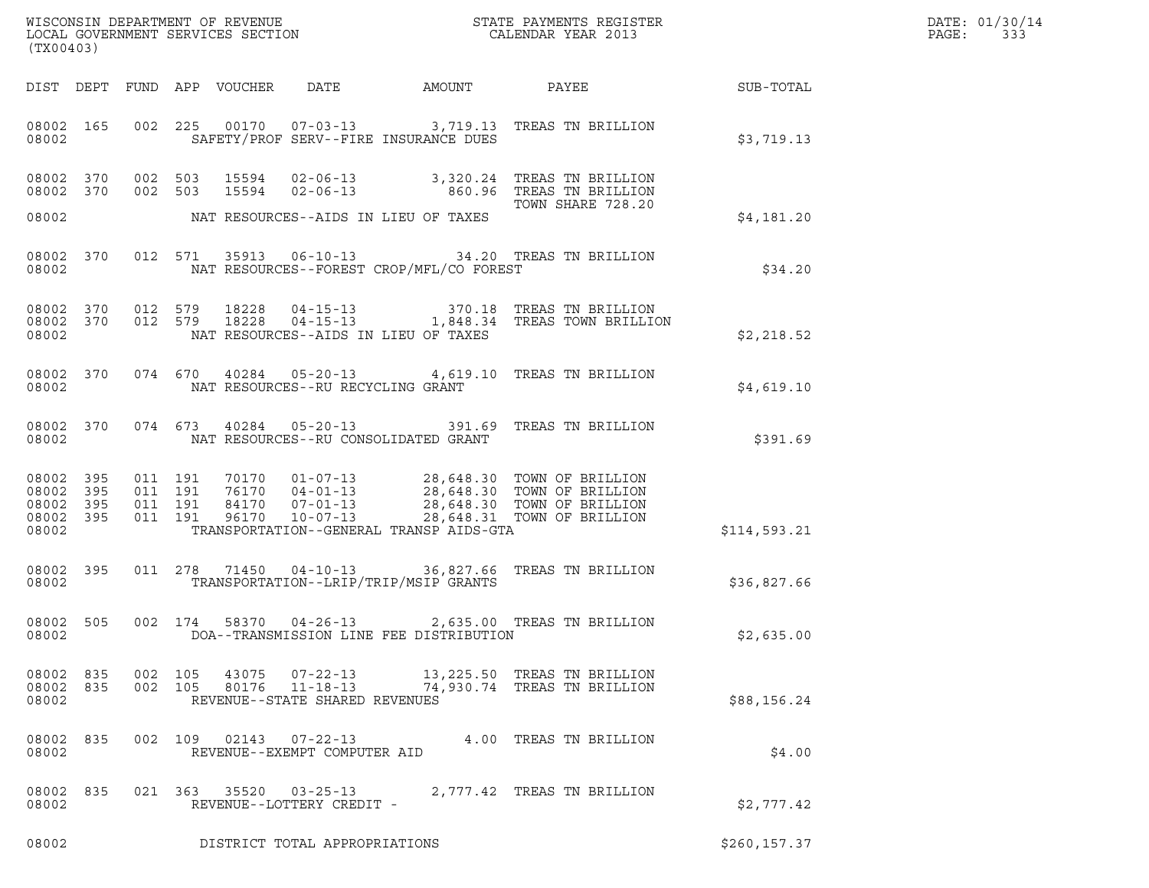|       | DATE: 01/30/14 |
|-------|----------------|
| PAGE: | 333            |

| (TX00403)                                             |       |                                          |                                                        |                                          |                                                                                                                                                                                              |               | DATE: 01/30/14<br>PAGE:<br>333 |
|-------------------------------------------------------|-------|------------------------------------------|--------------------------------------------------------|------------------------------------------|----------------------------------------------------------------------------------------------------------------------------------------------------------------------------------------------|---------------|--------------------------------|
|                                                       |       | DIST DEPT FUND APP VOUCHER               |                                                        | DATE AMOUNT                              | PAYEE                                                                                                                                                                                        | SUB-TOTAL     |                                |
| 08002 165<br>08002                                    |       |                                          |                                                        | SAFETY/PROF SERV--FIRE INSURANCE DUES    | 002 225 00170 07-03-13 3,719.13 TREAS TN BRILLION                                                                                                                                            | \$3,719.13    |                                |
| 08002 370<br>08002 370                                |       |                                          |                                                        |                                          | 002 503 15594 02-06-13 3,320.24 TREAS TN BRILLION<br>002 503 15594 02-06-13 660.96 TREAS TN BRILLION                                                                                         |               |                                |
| 08002                                                 |       |                                          |                                                        | NAT RESOURCES--AIDS IN LIEU OF TAXES     | TOWN SHARE 728.20                                                                                                                                                                            | \$4,181.20    |                                |
| 08002 370<br>08002                                    |       |                                          |                                                        | NAT RESOURCES--FOREST CROP/MFL/CO FOREST | 012 571 35913 06-10-13 34.20 TREAS TN BRILLION                                                                                                                                               | \$34.20       |                                |
| 08002 370<br>08002 370<br>08002                       |       | 012 579 18228<br>012 579 18228           |                                                        | NAT RESOURCES--AIDS IN LIEU OF TAXES     | 04-15-13 370.18 TREAS TN BRILLION<br>04-15-13 1,848.34 TREAS TOWN BRILLION                                                                                                                   | \$2,218.52    |                                |
| 08002 370<br>08002                                    |       |                                          | NAT RESOURCES--RU RECYCLING GRANT                      |                                          | 074 670 40284 05-20-13 4,619.10 TREAS TN BRILLION                                                                                                                                            | \$4,619.10    |                                |
| 08002 370<br>08002                                    |       | 074 673 40284                            |                                                        | NAT RESOURCES--RU CONSOLIDATED GRANT     | 05-20-13 391.69 TREAS TN BRILLION                                                                                                                                                            | \$391.69      |                                |
| 08002 395<br>08002 395<br>08002<br>08002 395<br>08002 | - 395 | 011 191<br>011 191<br>011 191<br>011 191 |                                                        | TRANSPORTATION--GENERAL TRANSP AIDS-GTA  | 70170  01-07-13  28,648.30  TOWN OF BRILLION<br>76170  04-01-13  28,648.30  TOWN OF BRILLION<br>84170  07-01-13  28,648.30  TOWN OF BRILLION<br>96170  10-07-13  28,648.31  TOWN OF BRILLION | \$114,593.21  |                                |
| 08002 395<br>08002                                    |       | 011 278 71450                            |                                                        | TRANSPORTATION--LRIP/TRIP/MSIP GRANTS    | 04-10-13 36,827.66 TREAS TN BRILLION                                                                                                                                                         | \$36,827.66   |                                |
| 08002 505<br>08002                                    |       | 002 174<br>58370                         | $04 - 26 - 13$                                         | DOA--TRANSMISSION LINE FEE DISTRIBUTION  | 2,635.00 TREAS TN BRILLION                                                                                                                                                                   | \$2,635.00    |                                |
| 08002 835<br>08002 835<br>08002                       |       | 002 105                                  | REVENUE--STATE SHARED REVENUES                         |                                          | 002 105 43075 07-22-13 13,225.50 TREAS TN BRILLION<br>80176  11-18-13  74,930.74  TREAS TN BRILLION                                                                                          | \$88,156.24   |                                |
| 08002 835<br>08002                                    |       |                                          | 002 109 02143 07-22-13<br>REVENUE--EXEMPT COMPUTER AID |                                          | 4.00 TREAS TN BRILLION                                                                                                                                                                       | \$4.00        |                                |
| 08002 835<br>08002                                    |       |                                          | 021 363 35520 03-25-13<br>REVENUE--LOTTERY CREDIT -    |                                          | 2,777.42 TREAS TN BRILLION                                                                                                                                                                   | \$2,777.42    |                                |
| 08002                                                 |       |                                          | DISTRICT TOTAL APPROPRIATIONS                          |                                          |                                                                                                                                                                                              | \$260, 157.37 |                                |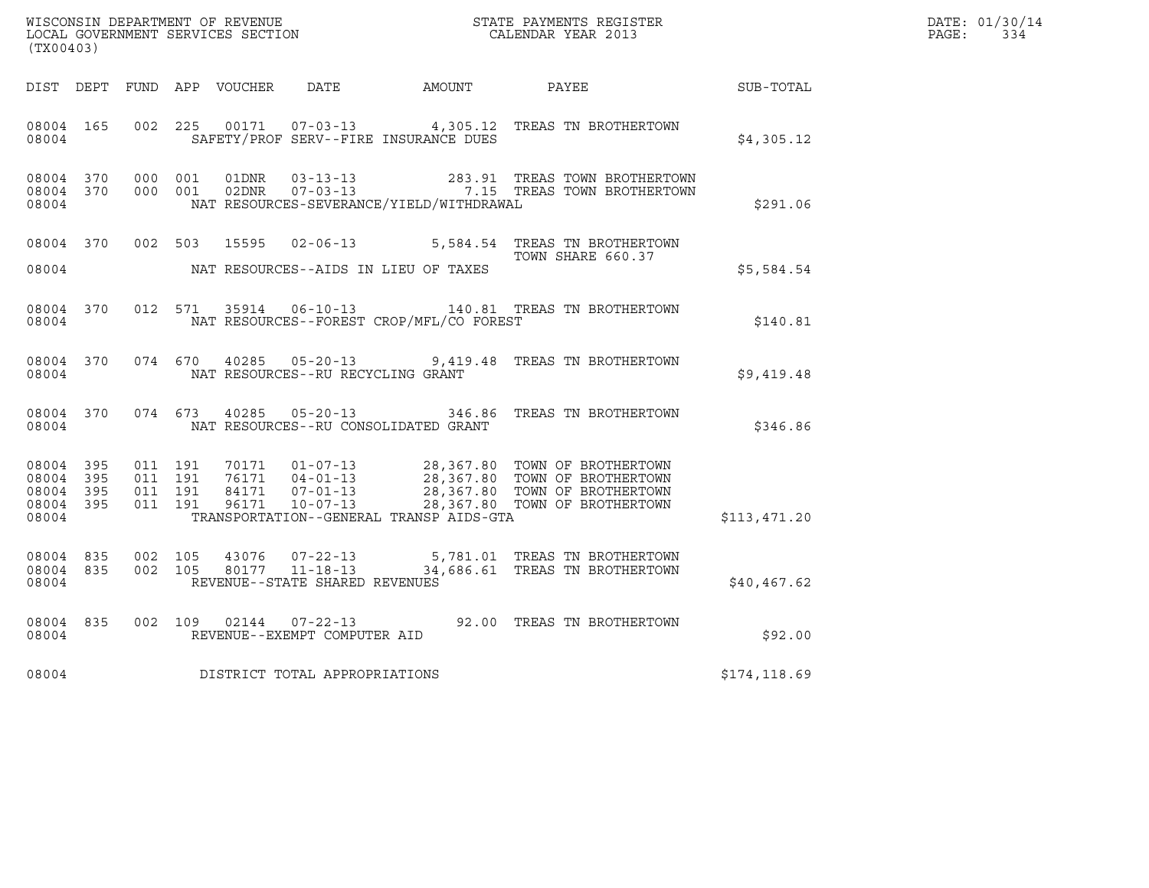| (TX00403)                                                 |           |                                          |         |       |                                   |                                              |                                                                                                                                                                                        |                  | DATE: 01/30/14<br>$\mathtt{PAGE:}$<br>334 |
|-----------------------------------------------------------|-----------|------------------------------------------|---------|-------|-----------------------------------|----------------------------------------------|----------------------------------------------------------------------------------------------------------------------------------------------------------------------------------------|------------------|-------------------------------------------|
|                                                           |           |                                          |         |       |                                   | DIST DEPT FUND APP VOUCHER DATE AMOUNT PAYEE |                                                                                                                                                                                        | <b>SUB-TOTAL</b> |                                           |
| 08004 165<br>08004                                        |           | 002 225                                  |         |       |                                   | SAFETY/PROF SERV--FIRE INSURANCE DUES        | 00171  07-03-13  4,305.12  TREAS TN BROTHERTOWN                                                                                                                                        | \$4,305.12       |                                           |
| 08004                                                     | 08004 370 | 08004 370 000 001                        | 000 001 |       |                                   | NAT RESOURCES-SEVERANCE/YIELD/WITHDRAWAL     | $\begin{tabular}{llllll} 01DNR & 03-13-13 & 283.91 & TREAS TOWN BROTHERTOWN \\ 02DNR & 07-03-13 & 7.15 & TREAS TOWN BROTHERTOWN \end{tabular}$                                         | \$291.06         |                                           |
| 08004                                                     |           |                                          |         |       | 08004 370 002 503 15595 02-06-13  | NAT RESOURCES--AIDS IN LIEU OF TAXES         | 5,584.54 TREAS TN BROTHERTOWN<br>TOWN SHARE 660.37                                                                                                                                     | \$5,584.54       |                                           |
| 08004                                                     |           |                                          |         |       |                                   | NAT RESOURCES--FOREST CROP/MFL/CO FOREST     | 08004 370 012 571 35914 06-10-13 140.81 TREAS TN BROTHERTOWN                                                                                                                           | \$140.81         |                                           |
| 08004                                                     |           |                                          |         |       | NAT RESOURCES--RU RECYCLING GRANT |                                              | 08004 370 074 670 40285 05-20-13 9,419.48 TREAS TN BROTHERTOWN                                                                                                                         | \$9,419.48       |                                           |
| 08004                                                     | 08004 370 | 074 673                                  |         | 40285 |                                   | NAT RESOURCES--RU CONSOLIDATED GRANT         | 05-20-13 346.86 TREAS TN BROTHERTOWN                                                                                                                                                   | \$346.86         |                                           |
| 08004 395<br>08004 395<br>08004 395<br>08004 395<br>08004 |           | 011 191<br>011 191<br>011 191<br>011 191 |         |       |                                   | TRANSPORTATION--GENERAL TRANSP AIDS-GTA      | 70171  01-07-13  28,367.80  TOWN OF BROTHERTOWN<br>76171  04-01-13  28,367.80  TOWN OF BROTHERTOWN<br>84171  07-01-13  28,367.80  TOWN OF BROTHERTOWN<br>28,367.80 TOWN OF BROTHERTOWN | \$113,471.20     |                                           |
| 08004 835<br>08004                                        | 08004 835 | 002 105<br>002 105                       |         | 43076 | REVENUE--STATE SHARED REVENUES    |                                              | 07-22-13 5,781.01 TREAS TN BROTHERTOWN<br>80177  11-18-13  34,686.61  TREAS TN BROTHERTOWN                                                                                             | \$40,467.62      |                                           |
| 08004 835<br>08004                                        |           | 002 109                                  |         |       | REVENUE--EXEMPT COMPUTER AID      |                                              | 02144  07-22-13  92.00 TREAS TN BROTHERTOWN                                                                                                                                            | \$92.00          |                                           |
| 08004                                                     |           |                                          |         |       | DISTRICT TOTAL APPROPRIATIONS     |                                              |                                                                                                                                                                                        | \$174,118.69     |                                           |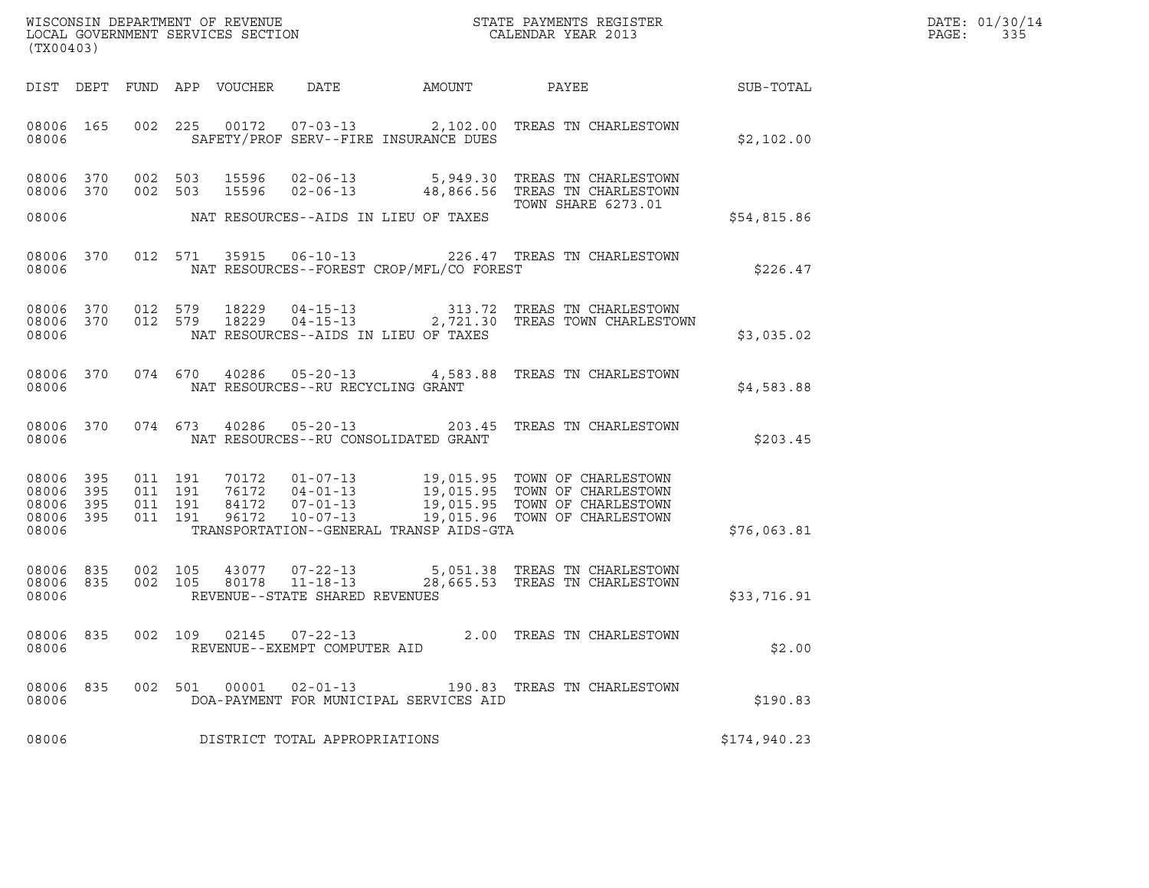| WISCONSIN DEPARTMENT OF REVENUE<br>STATE PAYMENTS REGISTER<br>LOCAL GOVERNMENT SERVICES SECTION<br>CALENDAR YEAR 2013 | DATE: 01/30/14<br>PAGE: |
|-----------------------------------------------------------------------------------------------------------------------|-------------------------|

| (TX00403)                                                 |     |     |     |       |                                         |                                             | WISCONSIN DEPARTMENT OF REVENUE<br>LOCAL GOVERNMENT SERVICES SECTION THE STATE PAYMENTS REGISTER<br>CALENDAR YEAR 2013                                                                                                                                                  |              | DATE: 01/30/14<br>PAGE: 335 |
|-----------------------------------------------------------|-----|-----|-----|-------|-----------------------------------------|---------------------------------------------|-------------------------------------------------------------------------------------------------------------------------------------------------------------------------------------------------------------------------------------------------------------------------|--------------|-----------------------------|
|                                                           |     |     |     |       |                                         |                                             | DIST DEPT FUND APP VOUCHER DATE AMOUNT PAYEE SUB-TOTAL                                                                                                                                                                                                                  |              |                             |
|                                                           |     |     |     |       |                                         | 08006 SAFETY/PROF SERV--FIRE INSURANCE DUES | 08006 165 002 225 00172 07-03-13 2,102.00 TREAS TN CHARLESTOWN                                                                                                                                                                                                          | \$2,102.00   |                             |
| 08006 370<br>08006 370                                    |     |     |     |       |                                         | 08006 NAT RESOURCES--AIDS IN LIEU OF TAXES  | 002 503 15596 02-06-13 5,949.30 TREAS TN CHARLESTOWN<br>002 503 15596 02-06-13 48,866.56 TREAS TN CHARLESTOWN<br>TOWN SHARE 6273.01                                                                                                                                     | \$54,815.86  |                             |
|                                                           |     |     |     |       |                                         |                                             | 08006 370 012 571 35915 06-10-13 226.47 TREAS TN CHARLESTOWN                                                                                                                                                                                                            |              |                             |
|                                                           |     |     |     |       |                                         |                                             | 08006 577 THE MAT RESOURCES--FOREST CROP/MFL/CO FOREST                                                                                                                                                                                                                  | \$226.47     |                             |
| 08006                                                     |     |     |     |       |                                         | NAT RESOURCES--AIDS IN LIEU OF TAXES        | 08006 370 012 579 18229 04-15-13 313.72 TREAS TN CHARLESTOWN 08006 370 012 579 18229 04-15-13 2,721.30 TREAS TOWN CHARLESTOWN                                                                                                                                           | \$3,035.02   |                             |
|                                                           |     |     |     |       | 08006 NAT RESOURCES--RU RECYCLING GRANT |                                             | 08006 370 074 670 40286 05-20-13 4,583.88 TREAS TN CHARLESTOWN                                                                                                                                                                                                          | \$4,583.88   |                             |
|                                                           |     |     |     |       |                                         | 08006 NAT RESOURCES--RU CONSOLIDATED GRANT  | 08006 370 074 673 40286 05-20-13 203.45 TREAS TN CHARLESTOWN                                                                                                                                                                                                            | \$203.45     |                             |
| 08006 395<br>08006 395<br>08006 395<br>08006 395<br>08006 |     |     |     |       |                                         |                                             | 011 191 70172 01-07-13 19,015.95 TOWN OF CHARLESTOWN<br>011 191 76172 04-01-13 19,015.95 TOWN OF CHARLESTOWN<br>011 191 84172 07-01-13 19,015.95 TOWN OF CHARLESTOWN<br>011 191 96172 10-07-13 19,015.96 TOWN OF CHARLESTOWN<br>TRANSPORTATION--GENERAL TRANSP AIDS-GTA | \$76,063.81  |                             |
|                                                           |     |     |     |       | 08006 REVENUE--STATE SHARED REVENUES    |                                             | 08006 835 002 105 43077 07-22-13 5,051.38 TREAS TN CHARLESTOWN<br>08006 835 002 105 80178 11-18-13 28,665.53 TREAS TN CHARLESTOWN                                                                                                                                       | \$33,716.91  |                             |
| 08006                                                     |     |     |     |       | REVENUE--EXEMPT COMPUTER AID            |                                             | 08006 835 002 109 02145 07-22-13 2.00 TREAS TN CHARLESTOWN                                                                                                                                                                                                              | \$2.00       |                             |
| 08006<br>08006                                            | 835 | 002 | 501 | 00001 | $02 - 01 - 13$                          | DOA-PAYMENT FOR MUNICIPAL SERVICES AID      | 190.83 TREAS TN CHARLESTOWN                                                                                                                                                                                                                                             | \$190.83     |                             |
| 08006                                                     |     |     |     |       | DISTRICT TOTAL APPROPRIATIONS           |                                             |                                                                                                                                                                                                                                                                         | \$174,940.23 |                             |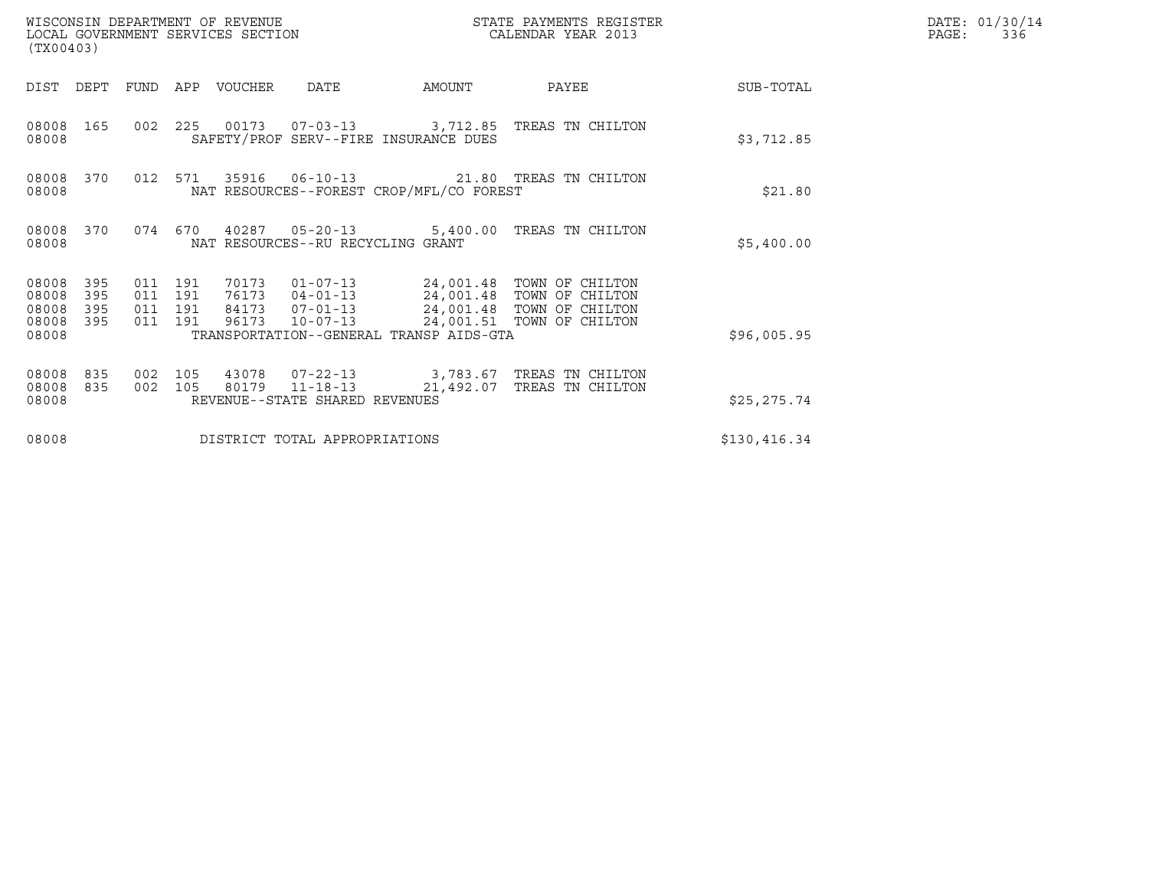| (TX00403)                                 |                          |                                          |         | WISCONSIN DEPARTMENT OF REVENUE<br>LOCAL GOVERNMENT SERVICES SECTION |                                                                      |                                          | STATE PAYMENTS REGISTER<br>CALENDAR YEAR 2013                                                                    |              | DATE: 01/30/14<br>PAGE:<br>336 |
|-------------------------------------------|--------------------------|------------------------------------------|---------|----------------------------------------------------------------------|----------------------------------------------------------------------|------------------------------------------|------------------------------------------------------------------------------------------------------------------|--------------|--------------------------------|
| DIST                                      | DEPT                     | FUND                                     | APP     | VOUCHER                                                              | <b>DATE</b>                                                          | AMOUNT                                   | PAYEE                                                                                                            | SUB-TOTAL    |                                |
| 08008<br>08008                            | 165                      |                                          |         |                                                                      |                                                                      | SAFETY/PROF SERV--FIRE INSURANCE DUES    | 002 225 00173 07-03-13 3,712.85 TREAS TN CHILTON                                                                 | \$3,712.85   |                                |
| 08008<br>08008                            | 370                      |                                          | 012 571 |                                                                      |                                                                      | NAT RESOURCES--FOREST CROP/MFL/CO FOREST | 35916  06-10-13  21.80 TREAS TN CHILTON                                                                          | \$21.80      |                                |
| 08008<br>08008                            | 370                      | 074 670                                  |         |                                                                      | NAT RESOURCES--RU RECYCLING GRANT                                    |                                          | 40287  05-20-13  5,400.00 TREAS TN CHILTON                                                                       | \$5,400.00   |                                |
| 08008<br>08008<br>08008<br>08008<br>08008 | 395<br>395<br>395<br>395 | 011 191<br>011 191<br>011 191<br>011 191 |         | 70173<br>76173<br>84173<br>96173                                     | $01 - 07 - 13$<br>$04 - 01 - 13$<br>$07 - 01 - 13$<br>$10 - 07 - 13$ | TRANSPORTATION--GENERAL TRANSP AIDS-GTA  | 24,001.48 TOWN OF CHILTON<br>24,001.48 TOWN OF CHILTON<br>24,001.48 TOWN OF CHILTON<br>24,001.51 TOWN OF CHILTON | \$96,005.95  |                                |
| 08008<br>08008<br>08008                   | 835<br>835               | 002<br>002 105                           | 105     | 80179                                                                | 43078 07-22-13<br>REVENUE--STATE SHARED REVENUES                     | 11-18-13 21,492.07                       | 3,783.67 TREAS TN CHILTON<br>TREAS TN CHILTON                                                                    | \$25, 275.74 |                                |
| 08008                                     |                          |                                          |         |                                                                      | DISTRICT TOTAL APPROPRIATIONS                                        |                                          |                                                                                                                  | \$130,416.34 |                                |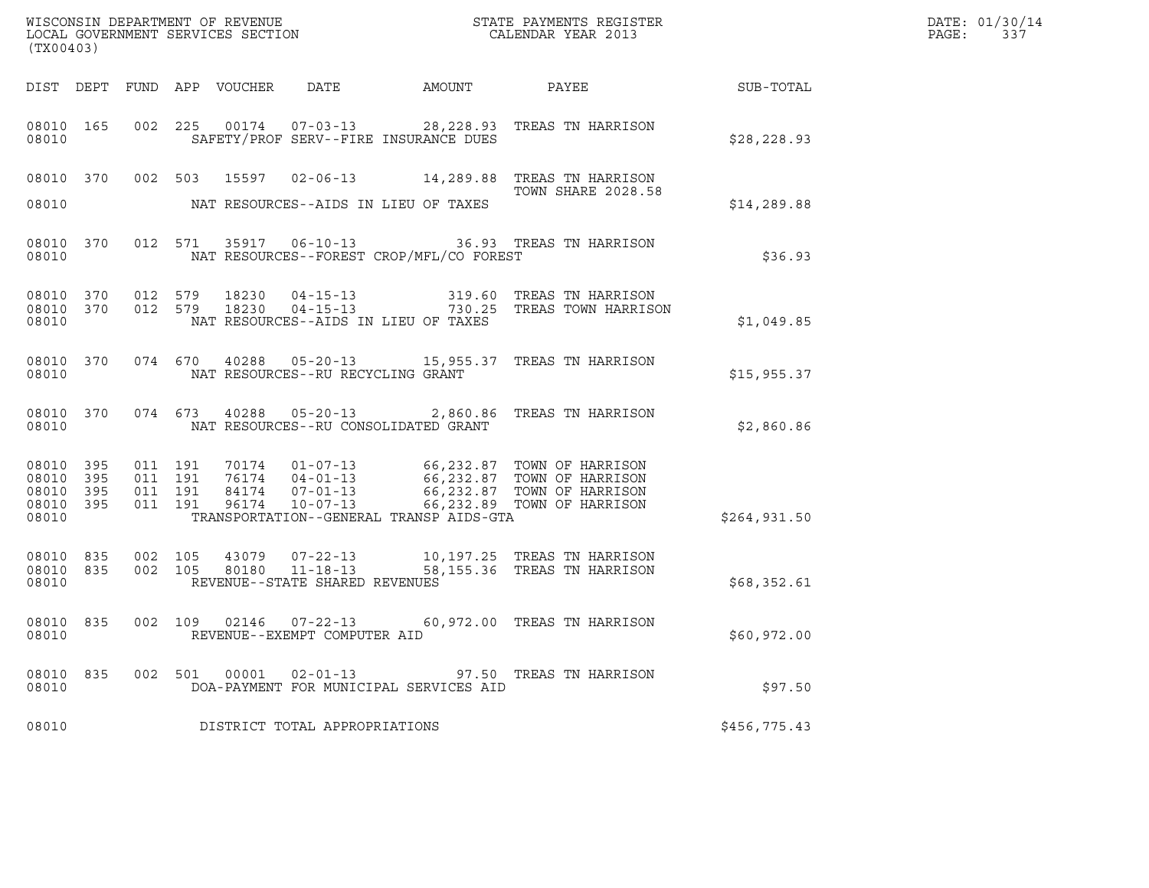| (TX00403)                                             |           |                               |         |       |                                                        |                                          | ${\tt WISCONSIN} \begin{tabular}{l} DEPARTMENT OF REVIEW \\ LOCAL BONERNMENT SERVICES SECTION \\ \end{tabular}$                                                                     |              | DATE: 01/30/14<br>PAGE:<br>337 |
|-------------------------------------------------------|-----------|-------------------------------|---------|-------|--------------------------------------------------------|------------------------------------------|-------------------------------------------------------------------------------------------------------------------------------------------------------------------------------------|--------------|--------------------------------|
|                                                       |           |                               |         |       |                                                        |                                          |                                                                                                                                                                                     |              |                                |
| 08010                                                 | 08010 165 |                               |         |       |                                                        | SAFETY/PROF SERV--FIRE INSURANCE DUES    | 002 225 00174 07-03-13 28,228.93 TREAS TN HARRISON                                                                                                                                  | \$28, 228.93 |                                |
|                                                       |           |                               |         |       |                                                        |                                          | 08010 370 002 503 15597 02-06-13 14,289.88 TREAS TN HARRISON<br><b>TOWN SHARE 2028.58</b>                                                                                           |              |                                |
| 08010                                                 |           |                               |         |       | NAT RESOURCES--AIDS IN LIEU OF TAXES                   |                                          |                                                                                                                                                                                     | \$14, 289.88 |                                |
| 08010                                                 |           |                               |         |       |                                                        | NAT RESOURCES--FOREST CROP/MFL/CO FOREST | 08010 370 012 571 35917 06-10-13 36.93 TREAS TN HARRISON                                                                                                                            | \$36.93      |                                |
| 08010                                                 |           |                               |         |       | NAT RESOURCES--AIDS IN LIEU OF TAXES                   |                                          | 08010 370 012 579 18230 04-15-13 319.60 TREAS TN HARRISON<br>08010 370 012 579 18230 04-15-13 730.25 TREAS TOWN HARRISON                                                            | \$1,049.85   |                                |
| 08010                                                 |           |                               |         |       | NAT RESOURCES--RU RECYCLING GRANT                      |                                          | 08010 370 074 670 40288 05-20-13 15,955.37 TREAS TN HARRISON                                                                                                                        | \$15,955.37  |                                |
| 08010                                                 |           |                               |         |       | NAT RESOURCES--RU CONSOLIDATED GRANT                   |                                          | 08010 370 074 673 40288 05-20-13 2,860.86 TREAS TN HARRISON                                                                                                                         | \$2,860.86   |                                |
| 08010 395<br>08010<br>08010 395<br>08010 395<br>08010 | 395       | 011 191<br>011 191<br>011 191 | 011 191 |       |                                                        | TRANSPORTATION--GENERAL TRANSP AIDS-GTA  | 70174  01-07-13  66,232.87  TOWN OF HARRISON<br>76174 04-01-13 66,232.87 TOWN OF HARRISON<br>84174 07-01-13 66,232.87 TOWN OF HARRISON<br>96174 10-07-13 66,232.89 TOWN OF HARRISON | \$264,931.50 |                                |
| 08010 835<br>08010                                    | 08010 835 | 002 105                       |         |       | REVENUE--STATE SHARED REVENUES                         |                                          | 43079  07-22-13  10,197.25  TREAS TN HARRISON<br>002 105 80180 11-18-13 58,155.36 TREAS TN HARRISON                                                                                 | \$68,352.61  |                                |
| 08010 835<br>08010                                    |           |                               |         |       | 002 109 02146 07-22-13<br>REVENUE--EXEMPT COMPUTER AID |                                          | 60,972.00 TREAS TN HARRISON                                                                                                                                                         | \$60,972.00  |                                |
| 08010 835<br>08010                                    |           | 002 501                       |         | 00001 | $02 - 01 - 13$                                         | DOA-PAYMENT FOR MUNICIPAL SERVICES AID   | 97.50 TREAS TN HARRISON                                                                                                                                                             | \$97.50      |                                |
| 08010                                                 |           |                               |         |       | DISTRICT TOTAL APPROPRIATIONS                          |                                          |                                                                                                                                                                                     | \$456,775.43 |                                |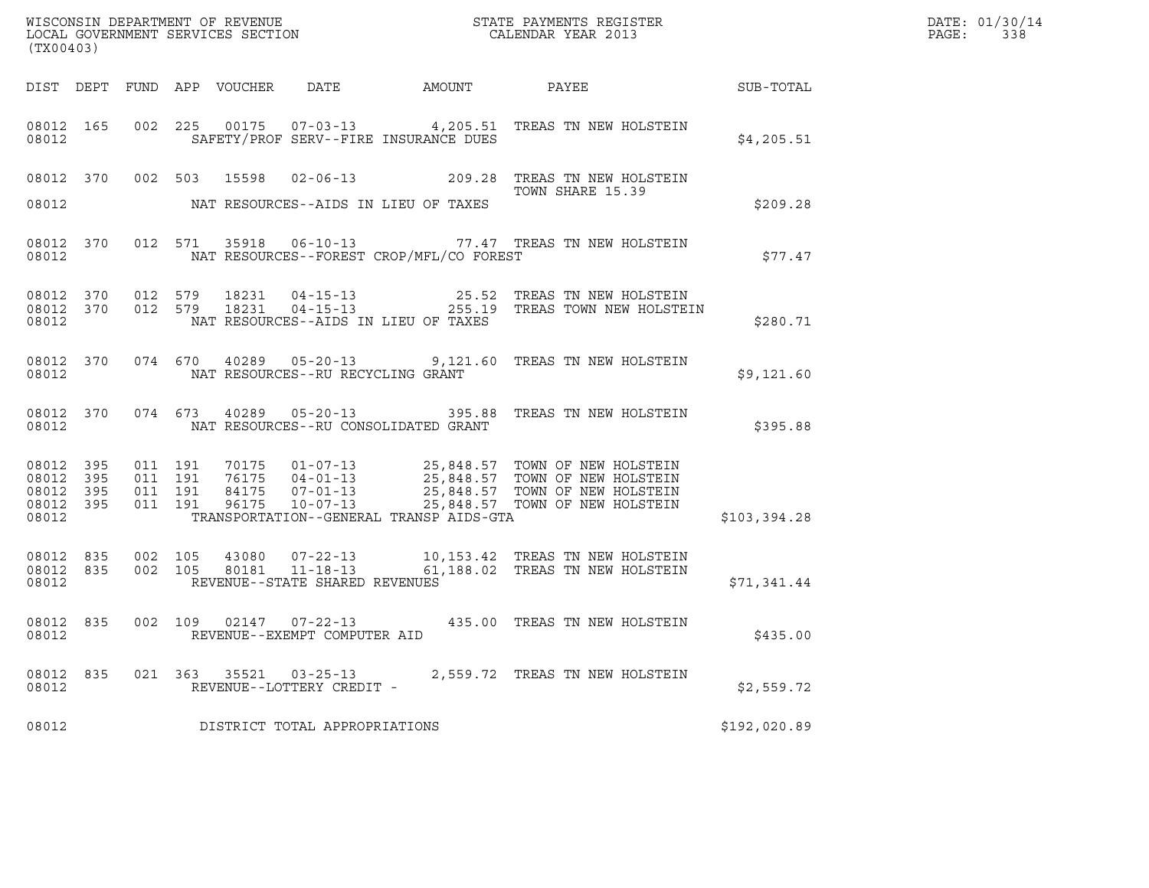| (TX00403)                                             |     |                                          |  |                                                     |                                          | ${\tt WISCONSIN} \begin{tabular}{l} DEPARTMENT OF REVIEW \\ LOCAL BONERNMENT SERVICES SECTION \\ \end{tabular}$                      |              | DATE: 01/30/14<br>PAGE:<br>338 |
|-------------------------------------------------------|-----|------------------------------------------|--|-----------------------------------------------------|------------------------------------------|--------------------------------------------------------------------------------------------------------------------------------------|--------------|--------------------------------|
|                                                       |     |                                          |  |                                                     |                                          | DIST DEPT FUND APP VOUCHER DATE AMOUNT PAYEE TO SUB-TOTAL                                                                            |              |                                |
| 08012                                                 |     |                                          |  |                                                     | SAFETY/PROF SERV--FIRE INSURANCE DUES    | 08012 165 002 225 00175 07-03-13 4,205.51 TREAS TN NEW HOLSTEIN                                                                      | \$4,205.51   |                                |
|                                                       |     |                                          |  |                                                     |                                          | 08012 370 002 503 15598 02-06-13 209.28 TREAS TN NEW HOLSTEIN<br>TOWN SHARE 15.39                                                    |              |                                |
| 08012                                                 |     |                                          |  |                                                     | NAT RESOURCES--AIDS IN LIEU OF TAXES     |                                                                                                                                      | \$209.28     |                                |
| 08012                                                 |     |                                          |  |                                                     | NAT RESOURCES--FOREST CROP/MFL/CO FOREST | 08012 370 012 571 35918 06-10-13 77.47 TREAS TN NEW HOLSTEIN                                                                         | \$77.47      |                                |
| 08012                                                 |     |                                          |  |                                                     | NAT RESOURCES--AIDS IN LIEU OF TAXES     | 08012 370 012 579 18231 04-15-13 25.52 TREAS TN NEW HOLSTEIN<br>08012 370 012 579 18231 04-15-13 255.19 TREAS TOWN NEW HOLSTEIN      | \$280.71     |                                |
| 08012                                                 |     |                                          |  | NAT RESOURCES--RU RECYCLING GRANT                   |                                          | 08012 370 074 670 40289 05-20-13 9,121.60 TREAS TN NEW HOLSTEIN                                                                      | \$9,121.60   |                                |
| 08012                                                 |     |                                          |  |                                                     | NAT RESOURCES--RU CONSOLIDATED GRANT     | 08012 370 074 673 40289 05-20-13 395.88 TREAS TN NEW HOLSTEIN                                                                        | \$395.88     |                                |
| 08012 395<br>08012<br>08012 395<br>08012 395<br>08012 | 395 | 011 191<br>011 191<br>011 191<br>011 191 |  |                                                     | TRANSPORTATION--GENERAL TRANSP AIDS-GTA  |                                                                                                                                      | \$103,394.28 |                                |
| 08012                                                 |     |                                          |  | REVENUE--STATE SHARED REVENUES                      |                                          | 08012 835 002 105 43080 07-22-13 10,153.42 TREAS TN NEW HOLSTEIN<br>08012 835 002 105 80181 11-18-13 61,188.02 TREAS TN NEW HOLSTEIN | \$71,341.44  |                                |
| 08012                                                 |     |                                          |  | REVENUE--EXEMPT COMPUTER AID                        |                                          | 08012 835 002 109 02147 07-22-13 435.00 TREAS TN NEW HOLSTEIN                                                                        | \$435.00     |                                |
| 08012 835<br>08012                                    |     |                                          |  | 021 363 35521 03-25-13<br>REVENUE--LOTTERY CREDIT - |                                          | 2,559.72 TREAS TN NEW HOLSTEIN                                                                                                       | \$2,559.72   |                                |
| 08012                                                 |     |                                          |  | DISTRICT TOTAL APPROPRIATIONS                       |                                          |                                                                                                                                      | \$192,020.89 |                                |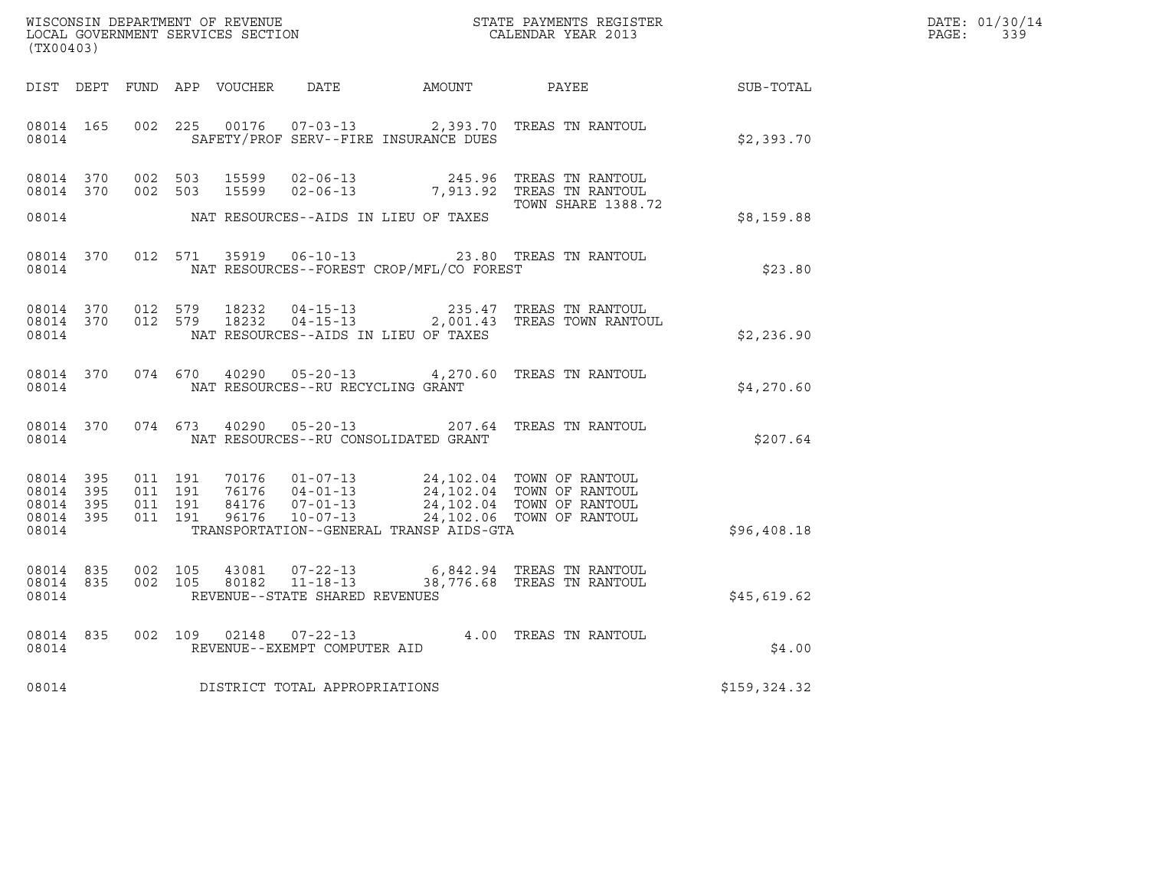| (TX00403)                                                 |           |                                          |                |                                   |                                            | $\tt WISCONSIM DEPARTMENT OF REVENUE$ $\tt WISCONSIM EN THE RAYMENTS REGISTERLOCAL GOVERNMENT SERVICES SECTION CALENDAR YEAR 2013$ |              | DATE: 01/30/14<br>$\mathtt{PAGE:}$<br>339 |
|-----------------------------------------------------------|-----------|------------------------------------------|----------------|-----------------------------------|--------------------------------------------|------------------------------------------------------------------------------------------------------------------------------------|--------------|-------------------------------------------|
|                                                           |           |                                          |                |                                   |                                            | DIST DEPT FUND APP VOUCHER DATE AMOUNT PAYEE SUB-TOTAL                                                                             |              |                                           |
| 08014 165<br>08014                                        |           |                                          |                |                                   | SAFETY/PROF SERV--FIRE INSURANCE DUES      | 002 225 00176 07-03-13 2,393.70 TREAS TN RANTOUL                                                                                   | \$2,393.70   |                                           |
|                                                           |           | 08014 370 002 503<br>08014 370 002 503   | 15599<br>15599 |                                   | 08014 NAT RESOURCES--AIDS IN LIEU OF TAXES | 02-06-13  245.96 TREAS TN RANTOUL<br>02-06-13 7,913.92 TREAS TN RANTOUL<br><b>TOWN SHARE 1388.72</b>                               | \$8,159.88   |                                           |
|                                                           |           |                                          |                |                                   |                                            | 08014 370 012 571 35919 06-10-13 23.80 TREAS TN RANTOUL                                                                            |              |                                           |
| 08014                                                     |           |                                          |                |                                   | NAT RESOURCES--FOREST CROP/MFL/CO FOREST   |                                                                                                                                    | \$23.80      |                                           |
| 08014 370<br>08014                                        |           | 08014 370 012 579                        | 012 579 18232  |                                   | NAT RESOURCES--AIDS IN LIEU OF TAXES       |                                                                                                                                    | \$2,236.90   |                                           |
| 08014                                                     |           |                                          |                | NAT RESOURCES--RU RECYCLING GRANT |                                            | 08014 370 074 670 40290 05-20-13 4,270.60 TREAS TN RANTOUL                                                                         | \$4,270.60   |                                           |
|                                                           | 08014     |                                          |                |                                   | NAT RESOURCES--RU CONSOLIDATED GRANT       | 08014 370 074 673 40290 05-20-13 207.64 TREAS TN RANTOUL                                                                           | \$207.64     |                                           |
| 08014 395<br>08014 395<br>08014 395<br>08014 395<br>08014 |           | 011 191<br>011 191<br>011 191<br>011 191 |                |                                   | TRANSPORTATION--GENERAL TRANSP AIDS-GTA    |                                                                                                                                    | \$96,408.18  |                                           |
| 08014                                                     | 08014 835 | 08014 835 002 105<br>002 105             |                | REVENUE--STATE SHARED REVENUES    |                                            | 43081  07-22-13  6,842.94  TREAS TN RANTOUL<br>80182  11-18-13  38,776.68  TREAS TN RANTOUL                                        | \$45,619.62  |                                           |
| 08014                                                     | 08014 835 |                                          |                | REVENUE--EXEMPT COMPUTER AID      |                                            | 002 109 02148 07-22-13 4.00 TREAS TN RANTOUL                                                                                       | \$4.00       |                                           |
| 08014                                                     |           |                                          |                | DISTRICT TOTAL APPROPRIATIONS     |                                            |                                                                                                                                    | \$159,324.32 |                                           |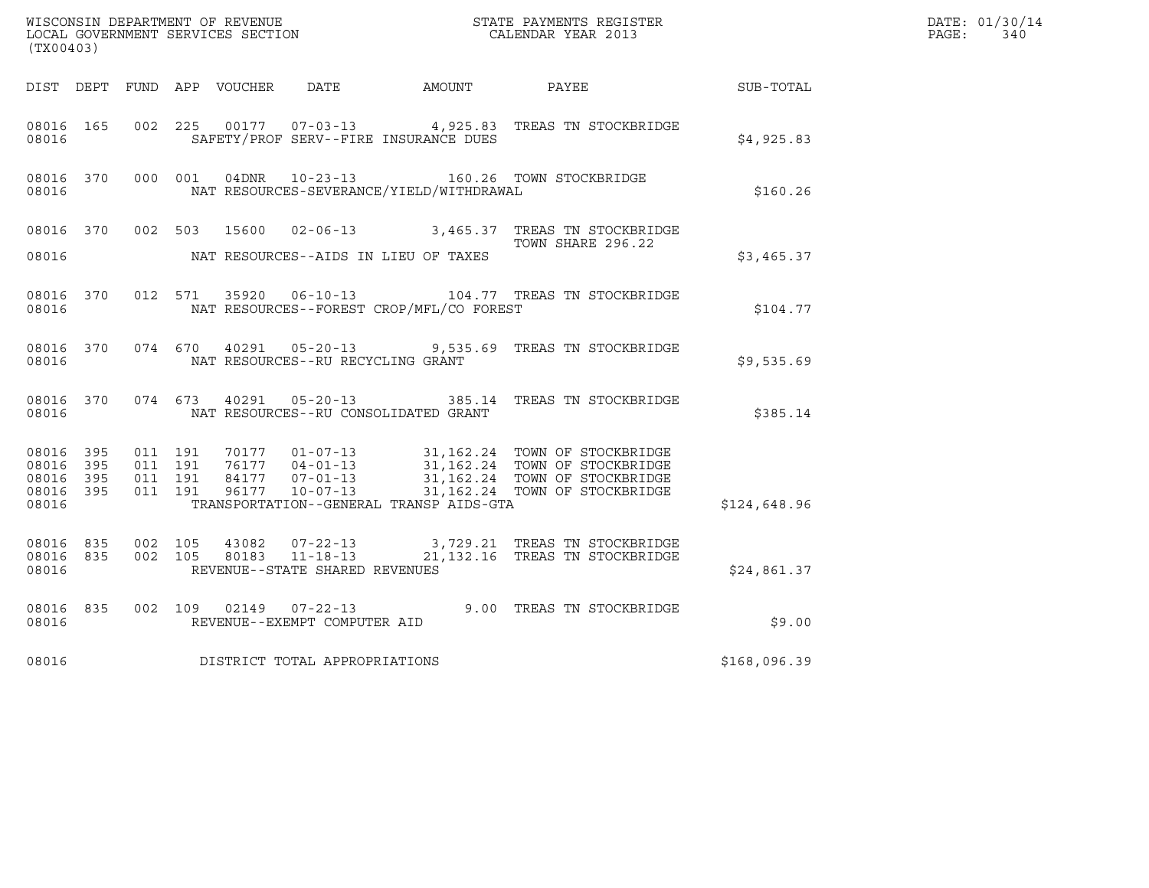| (TX00403)                                                 |                                          |         |                |                                                  |                                              | WISCONSIN DEPARTMENT OF REVENUE<br>LOCAL GOVERNMENT SERVICES SECTION<br>CALENDAR YEAR 2013                                                                                             |                  | DATE: 01/30/14<br>PAGE:<br>340 |
|-----------------------------------------------------------|------------------------------------------|---------|----------------|--------------------------------------------------|----------------------------------------------|----------------------------------------------------------------------------------------------------------------------------------------------------------------------------------------|------------------|--------------------------------|
|                                                           |                                          |         |                |                                                  | DIST DEPT FUND APP VOUCHER DATE AMOUNT PAYEE |                                                                                                                                                                                        | <b>SUB-TOTAL</b> |                                |
| 08016 165<br>08016                                        |                                          | 002 225 |                |                                                  | SAFETY/PROF SERV--FIRE INSURANCE DUES        | 00177  07-03-13  4,925.83  TREAS TN STOCKBRIDGE                                                                                                                                        | \$4,925.83       |                                |
| 08016 370<br>08016                                        |                                          | 000 001 |                |                                                  | NAT RESOURCES-SEVERANCE/YIELD/WITHDRAWAL     | 04DNR  10-23-13  160.26 TOWN STOCKBRIDGE                                                                                                                                               | \$160.26         |                                |
| 08016                                                     |                                          |         |                |                                                  | NAT RESOURCES--AIDS IN LIEU OF TAXES         | 08016 370 002 503 15600 02-06-13 3,465.37 TREAS TN STOCKBRIDGE<br>TOWN SHARE 296.22                                                                                                    | \$3,465.37       |                                |
| 08016 370<br>08016                                        |                                          |         |                |                                                  | NAT RESOURCES--FOREST CROP/MFL/CO FOREST     | 012 571 35920 06-10-13 104.77 TREAS TN STOCKBRIDGE                                                                                                                                     | \$104.77         |                                |
| 08016 370<br>08016                                        |                                          |         |                | NAT RESOURCES--RU RECYCLING GRANT                |                                              | 074 670 40291 05-20-13 9,535.69 TREAS TN STOCKBRIDGE                                                                                                                                   | \$9,535.69       |                                |
| 08016 370<br>08016                                        |                                          | 074 673 |                |                                                  | NAT RESOURCES--RU CONSOLIDATED GRANT         | 40291  05-20-13  385.14  TREAS TN STOCKBRIDGE                                                                                                                                          | \$385.14         |                                |
| 08016 395<br>08016 395<br>08016 395<br>08016 395<br>08016 | 011 191<br>011 191<br>011 191<br>011 191 |         |                | 96177 10-07-13                                   | TRANSPORTATION--GENERAL TRANSP AIDS-GTA      | 70177  01-07-13  31,162.24  TOWN OF STOCKBRIDGE<br>76177  04-01-13  31,162.24  TOWN OF STOCKBRIDGE<br>84177  07-01-13  31,162.24  TOWN OF STOCKBRIDGE<br>31,162.24 TOWN OF STOCKBRIDGE | \$124,648.96     |                                |
| 08016 835<br>08016 835<br>08016                           | 002 105<br>002 105                       |         | 43082<br>80183 | $11 - 18 - 13$<br>REVENUE--STATE SHARED REVENUES |                                              | 21,132.16 TREAS TN STOCKBRIDGE                                                                                                                                                         | \$24,861.37      |                                |
| 08016 835<br>08016                                        |                                          |         |                | REVENUE--EXEMPT COMPUTER AID                     |                                              | 002 109 02149 07-22-13 9.00 TREAS TN STOCKBRIDGE                                                                                                                                       | \$9.00           |                                |
| 08016                                                     |                                          |         |                | DISTRICT TOTAL APPROPRIATIONS                    |                                              |                                                                                                                                                                                        | \$168,096.39     |                                |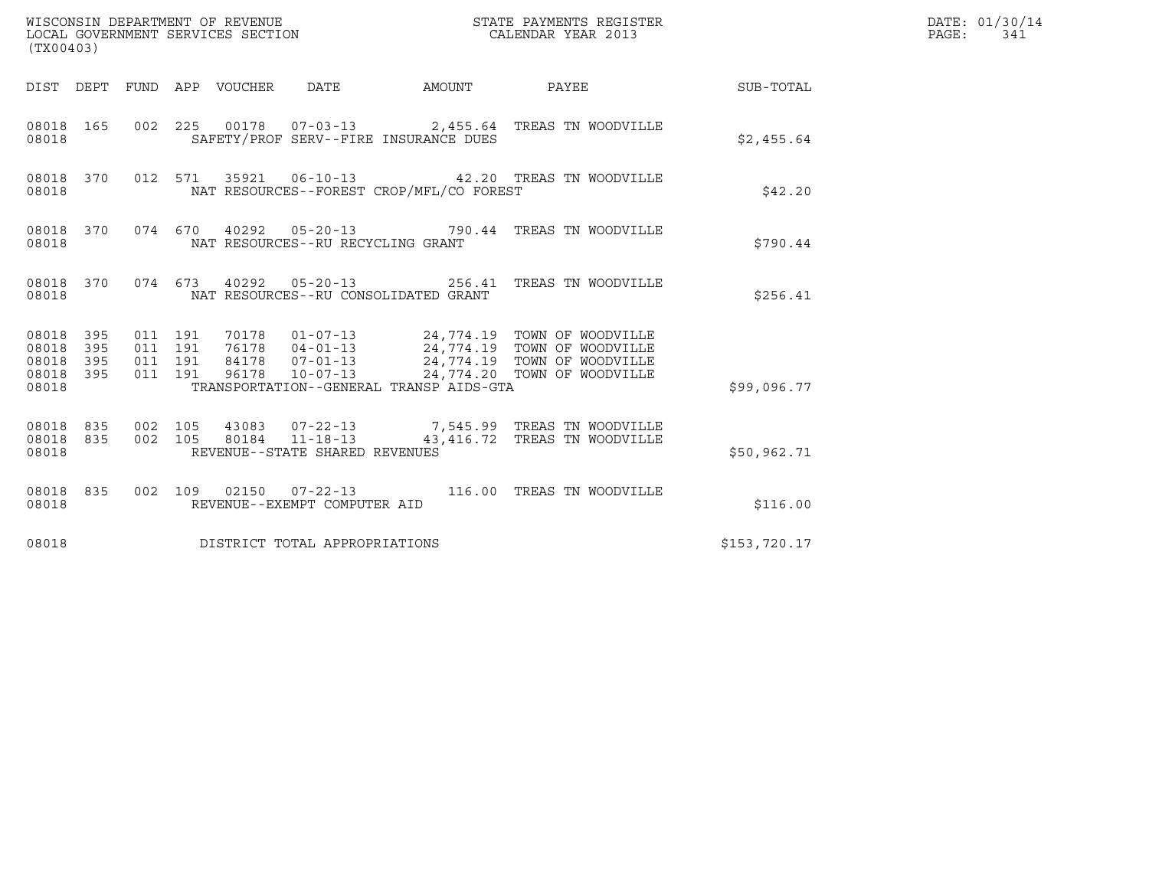| (TX00403)                                                       |                                                                                                                                                                                                                                                          |                              |                 | DATE: 01/30/14<br>$\mathtt{PAGE:}$<br>341 |
|-----------------------------------------------------------------|----------------------------------------------------------------------------------------------------------------------------------------------------------------------------------------------------------------------------------------------------------|------------------------------|-----------------|-------------------------------------------|
|                                                                 | DIST DEPT FUND APP VOUCHER DATE AMOUNT                                                                                                                                                                                                                   |                              | PAYEE SUB-TOTAL |                                           |
| 08018 165<br>08018                                              | 002 225 00178 07-03-13 2,455.64 TREAS TN WOODVILLE<br>SAFETY/PROF SERV--FIRE INSURANCE DUES                                                                                                                                                              |                              | \$2,455.64      |                                           |
| 08018 370<br>08018                                              | 012 571 35921 06-10-13 42.20 TREAS TN WOODVILLE<br>NAT RESOURCES--FOREST CROP/MFL/CO FOREST                                                                                                                                                              |                              | \$42.20         |                                           |
| 08018 370<br>08018                                              | 074 670 40292 05-20-13 790.44 TREAS TN WOODVILLE<br>NAT RESOURCES--RU RECYCLING GRANT                                                                                                                                                                    |                              | \$790.44        |                                           |
| 08018                                                           | 08018 370 074 673 40292 05-20-13 256.41 TREAS TN WOODVILLE<br>NAT RESOURCES--RU CONSOLIDATED GRANT                                                                                                                                                       |                              | \$256.41        |                                           |
| 08018 395<br>08018<br>395<br>395<br>08018<br>08018 395<br>08018 | 70178  01-07-13  24,774.19  TOWN OF WOODVILLE<br>011 191<br>76178 04-01-13<br>84178 07-01-13<br>96178 10-07-13<br>24,774.19 TOWN OF WOODVILLE<br>24,774.20 TOWN OF WOODVILLE<br>011 191<br>011 191<br>011 191<br>TRANSPORTATION--GENERAL TRANSP AIDS-GTA |                              | \$99,096.77     |                                           |
| 08018 835<br>08018 835<br>08018                                 | 43083  07-22-13  7,545.99  TREAS TN WOODVILLE<br>002 105<br>002 105<br>80184 11-18-13<br>REVENUE--STATE SHARED REVENUES                                                                                                                                  | 43,416.72 TREAS TN WOODVILLE | \$50,962.71     |                                           |
| 08018 835<br>08018                                              | 002  109  02150  07-22-13  116.00  TREAS TN WOODVILLE<br>REVENUE--EXEMPT COMPUTER AID                                                                                                                                                                    |                              | \$116.00        |                                           |
| 08018                                                           | DISTRICT TOTAL APPROPRIATIONS                                                                                                                                                                                                                            |                              | \$153,720.17    |                                           |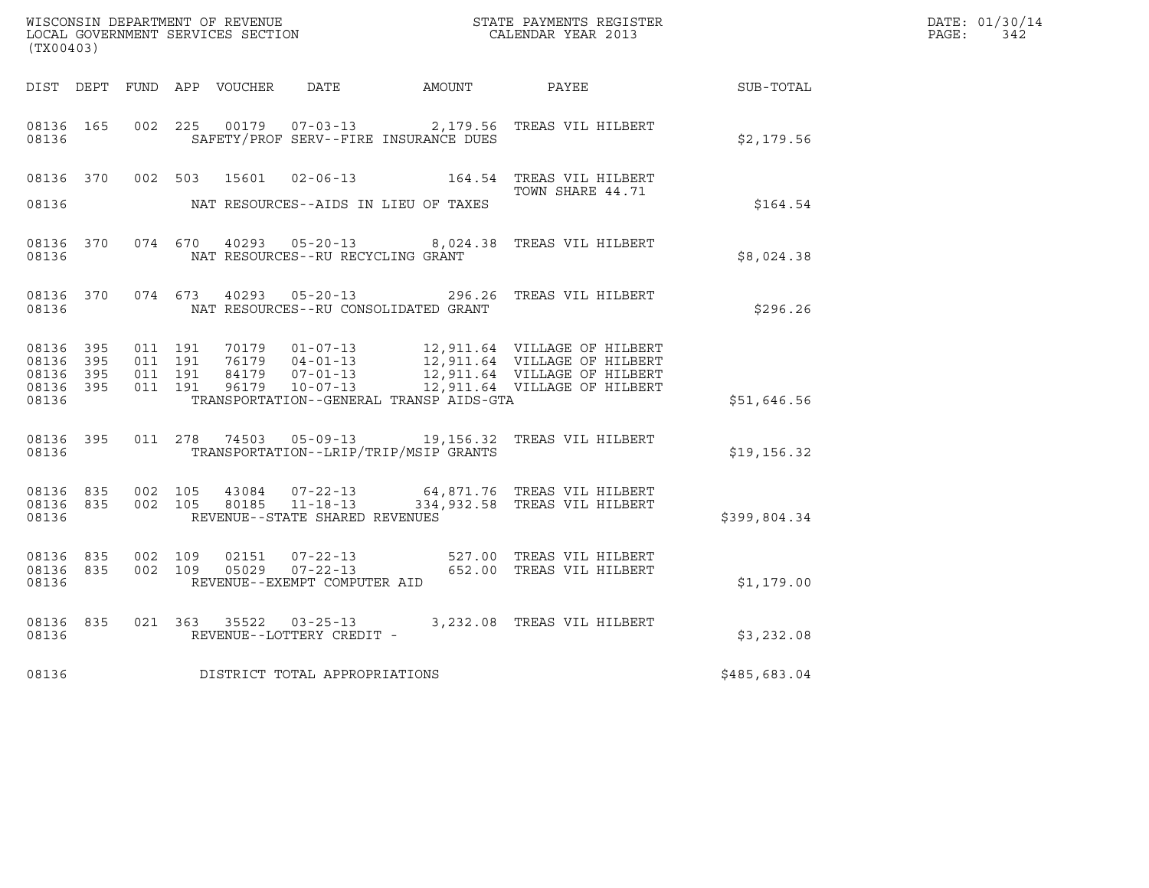| (TX00403)                       |     |                    |         |       |                                                                    |                                              |                                                                                                                                                    |                  | DATE: 01/30/14<br>$\mathtt{PAGE:}$<br>342 |
|---------------------------------|-----|--------------------|---------|-------|--------------------------------------------------------------------|----------------------------------------------|----------------------------------------------------------------------------------------------------------------------------------------------------|------------------|-------------------------------------------|
|                                 |     |                    |         |       |                                                                    | DIST DEPT FUND APP VOUCHER DATE AMOUNT PAYEE |                                                                                                                                                    | <b>SUB-TOTAL</b> |                                           |
| 08136 165<br>08136              |     | 002 225            |         |       |                                                                    | SAFETY/PROF SERV--FIRE INSURANCE DUES        | 00179  07-03-13  2,179.56  TREAS VIL HILBERT                                                                                                       | \$2,179.56       |                                           |
|                                 |     |                    |         |       |                                                                    |                                              | 08136 370 002 503 15601 02-06-13 164.54 TREAS VIL HILBERT<br>TOWN SHARE 44.71                                                                      |                  |                                           |
| 08136                           |     |                    |         |       |                                                                    | NAT RESOURCES--AIDS IN LIEU OF TAXES         |                                                                                                                                                    | \$164.54         |                                           |
| 08136                           |     |                    |         |       | NAT RESOURCES--RU RECYCLING GRANT                                  |                                              | 08136 370 074 670 40293 05-20-13 8,024.38 TREAS VIL HILBERT                                                                                        | \$8,024.38       |                                           |
| 08136 370<br>08136              |     |                    |         |       |                                                                    | NAT RESOURCES--RU CONSOLIDATED GRANT         | 074 673 40293 05-20-13 296.26 TREAS VIL HILBERT                                                                                                    | \$296.26         |                                           |
| 08136 395<br>08136              | 395 | 011 191<br>011 191 |         |       |                                                                    |                                              | 70179  01-07-13  12,911.64  VILLAGE OF HILBERT<br>76179  04-01-13  12,911.64  VILLAGE OF HILBERT<br>84179  07-01-13  12,911.64  VILLAGE OF HILBERT |                  |                                           |
| 08136 395<br>08136 395<br>08136 |     | 011 191<br>011 191 |         |       |                                                                    | TRANSPORTATION--GENERAL TRANSP AIDS-GTA      | 96179  10-07-13  12,911.64  VILLAGE OF HILBERT                                                                                                     | \$51,646.56      |                                           |
| 08136 395<br>08136              |     |                    |         |       |                                                                    | TRANSPORTATION--LRIP/TRIP/MSIP GRANTS        | 011  278  74503  05-09-13  19,156.32  TREAS VIL HILBERT                                                                                            | \$19, 156.32     |                                           |
| 08136 835<br>08136              |     | 08136 835 002 105  | 002 105 |       | 43084 07-22-13<br>80185 11-18-13<br>REVENUE--STATE SHARED REVENUES |                                              | 64,871.76   TREAS VIL HILBERT<br>334,932.58 TREAS VIL HILBERT                                                                                      | \$399,804.34     |                                           |
| 08136 835<br>08136              |     | 08136 835 002 109  | 002 109 | 02151 | REVENUE--EXEMPT COMPUTER AID                                       |                                              | 07-22-13 527.00 TREAS VIL HILBERT<br>05029  07-22-13  652.00 TREAS VIL HILBERT                                                                     | \$1,179.00       |                                           |
| 08136 835<br>08136              |     |                    |         |       | REVENUE--LOTTERY CREDIT -                                          |                                              | 021 363 35522 03-25-13 3,232.08 TREAS VIL HILBERT                                                                                                  | \$3,232.08       |                                           |
| 08136                           |     |                    |         |       | DISTRICT TOTAL APPROPRIATIONS                                      |                                              |                                                                                                                                                    | \$485,683.04     |                                           |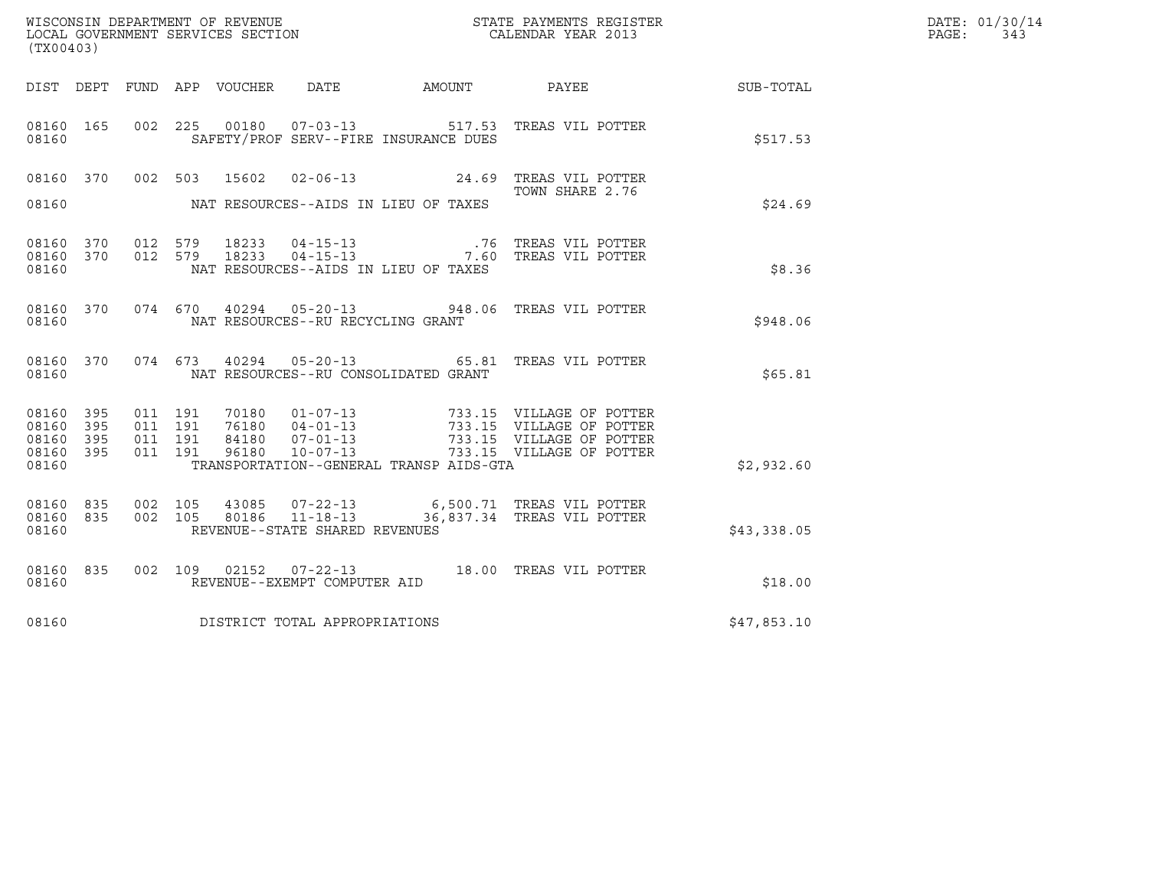| (TX00403)                                     |                     |                               |         |                |                                                  |                                                              | ${\tt WISCOONSIM} \begin{tabular}{lcccc} DEPARTMENT OF REVENUE & & & & & & \begin{tabular}{l} \bf STATE} & \bf PAYMENTS \textit{ REGISTER} \\ \hline \textit{LOCAL GOVERNMENT} & \textit{SEVICES} & \textit{SECTION} \end{tabular} & & & & & \begin{tabular}{l} \bf CALENDAR \textit{ YEAR} \end{tabular} \end{tabular}$ |             | DATE: 01/30/14<br>PAGE:<br>343 |
|-----------------------------------------------|---------------------|-------------------------------|---------|----------------|--------------------------------------------------|--------------------------------------------------------------|--------------------------------------------------------------------------------------------------------------------------------------------------------------------------------------------------------------------------------------------------------------------------------------------------------------------------|-------------|--------------------------------|
|                                               |                     |                               |         |                |                                                  |                                                              | DIST DEPT FUND APP VOUCHER DATE AMOUNT PAYEE SUB-TOTAL                                                                                                                                                                                                                                                                   |             |                                |
| 08160 165<br>08160                            |                     |                               |         |                |                                                  | SAFETY/PROF SERV--FIRE INSURANCE DUES                        | 002  225  00180  07-03-13  517.53  TREAS VIL POTTER                                                                                                                                                                                                                                                                      | \$517.53    |                                |
| 08160 370 002 503<br>08160                    |                     |                               |         | 15602          |                                                  | $02 - 06 - 13$ 24.69<br>NAT RESOURCES--AIDS IN LIEU OF TAXES | TREAS VIL POTTER<br>TOWN SHARE 2.76                                                                                                                                                                                                                                                                                      | \$24.69     |                                |
| 08160                                         |                     |                               |         |                |                                                  | NAT RESOURCES--AIDS IN LIEU OF TAXES                         | 08160 370 012 579 18233 04-15-13 .76 TREAS VIL POTTER 08160 370 012 579 18233 04-15-13 .7.60 TREAS VIL POTTER                                                                                                                                                                                                            | \$8.36      |                                |
| 08160 370<br>08160                            |                     |                               |         |                | NAT RESOURCES--RU RECYCLING GRANT                |                                                              | 074 670 40294 05-20-13 948.06 TREAS VIL POTTER                                                                                                                                                                                                                                                                           | \$948.06    |                                |
| 08160 370<br>08160                            |                     |                               |         |                |                                                  | NAT RESOURCES--RU CONSOLIDATED GRANT                         | 074  673  40294  05-20-13  65.81  TREAS VIL POTTER                                                                                                                                                                                                                                                                       | \$65.81     |                                |
| 08160 395<br>08160<br>08160<br>08160<br>08160 | 395<br>- 395<br>395 | 011 191<br>011 191<br>011 191 | 011 191 |                |                                                  | TRANSPORTATION--GENERAL TRANSP AIDS-GTA                      | 70180  01-07-13  733.15  VILLAGE OF POTTER<br>76180  04-01-13  733.15  VILLAGE OF POTTER<br>84180  07-01-13  733.15  VILLAGE OF POTTER<br>96180  10-07-13  733.15  VILLAGE OF POTTER                                                                                                                                     | \$2,932.60  |                                |
| 08160 835<br>08160 835<br>08160               |                     | 002 105<br>002 105            |         | 43085<br>80186 | $11 - 18 - 13$<br>REVENUE--STATE SHARED REVENUES |                                                              | 07-22-13 6,500.71 TREAS VIL POTTER<br>36,837.34 TREAS VIL POTTER                                                                                                                                                                                                                                                         | \$43,338.05 |                                |
| 08160 835<br>08160                            |                     |                               |         |                | REVENUE--EXEMPT COMPUTER AID                     |                                                              | 002 109 02152 07-22-13 18.00 TREAS VIL POTTER                                                                                                                                                                                                                                                                            | \$18.00     |                                |
| 08160                                         |                     |                               |         |                | DISTRICT TOTAL APPROPRIATIONS                    |                                                              |                                                                                                                                                                                                                                                                                                                          | \$47,853.10 |                                |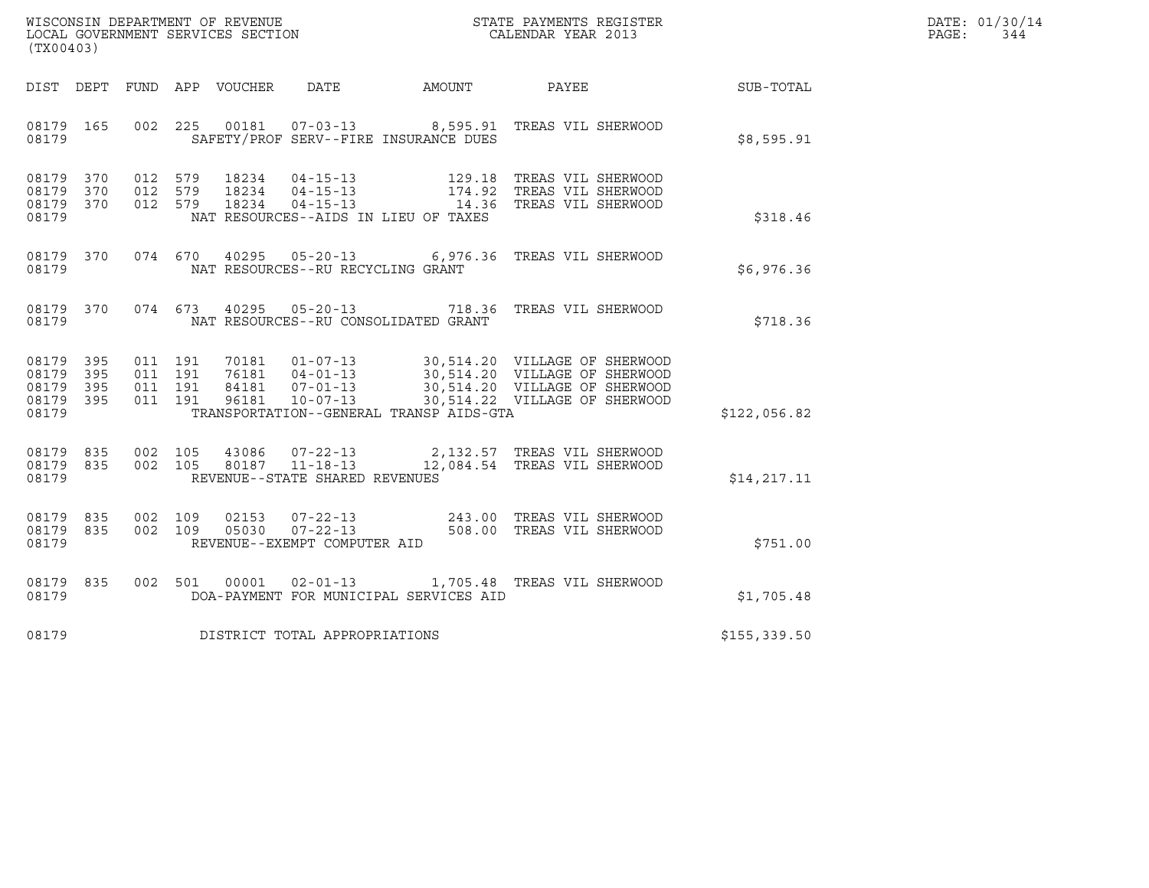| WISCONSIN DEPARTMENT OF REVENUE   | STATE PAYMENTS REGISTER | DATE: 01/30/14 |
|-----------------------------------|-------------------------|----------------|
| LOCAL GOVERNMENT SERVICES SECTION | CALENDAR YEAR 2013      | PAGE:<br>344   |

| (TX00403)                                                             |                                                                                          |                                                                                                                 |                                                                                                                                  |              |
|-----------------------------------------------------------------------|------------------------------------------------------------------------------------------|-----------------------------------------------------------------------------------------------------------------|----------------------------------------------------------------------------------------------------------------------------------|--------------|
| DIST<br>DEPT<br>FUND                                                  | DATE<br>APP VOUCHER                                                                      | AMOUNT                                                                                                          | PAYEE                                                                                                                            | SUB-TOTAL    |
| 08179<br>165<br>08179                                                 | 002<br>225<br>00181                                                                      | 07-03-13 8,595.91 TREAS VIL SHERWOOD<br>SAFETY/PROF SERV--FIRE INSURANCE DUES                                   |                                                                                                                                  | \$8,595.91   |
| 08179<br>370<br>08179<br>370<br>370<br>08179<br>08179                 | 012<br>579<br>18234<br>012<br>18234<br>579<br>579<br>012<br>18234                        | 04-15-13 129.18<br>04-15-13 174.92<br>04-15-13 14.36<br>NAT RESOURCES--AIDS IN LIEU OF TAXES                    | 129.18 TREAS VIL SHERWOOD<br>174.92 TREAS VIL SHERWOOD<br>TREAS VIL SHERWOOD                                                     | \$318.46     |
| 08179<br>370<br>08179                                                 | 074<br>670<br>40295                                                                      | $05 - 20 - 13$ 6,976.36<br>NAT RESOURCES--RU RECYCLING GRANT                                                    | TREAS VIL SHERWOOD                                                                                                               | \$6,976.36   |
| 370<br>08179<br>08179                                                 | 074<br>673<br>40295                                                                      | $05 - 20 - 13$<br>718.36<br>NAT RESOURCES--RU CONSOLIDATED GRANT                                                | TREAS VIL SHERWOOD                                                                                                               | \$718.36     |
| 08179<br>395<br>395<br>08179<br>08179<br>395<br>395<br>08179<br>08179 | 011<br>191<br>70181<br>011<br>191<br>76181<br>011<br>191<br>84181<br>191<br>96181<br>011 | $01 - 07 - 13$<br>$04 - 01 - 13$<br>$07 - 01 - 13$<br>$10 - 07 - 13$<br>TRANSPORTATION--GENERAL TRANSP AIDS-GTA | 30,514.20 VILLAGE OF SHERWOOD<br>30,514.20 VILLAGE OF SHERWOOD<br>30,514.20 VILLAGE OF SHERWOOD<br>30,514.22 VILLAGE OF SHERWOOD | \$122,056.82 |
| 08179<br>835<br>835<br>08179<br>08179                                 | 002<br>105<br>43086<br>002<br>105                                                        | $07 - 22 - 13$<br>80187 11-18-13<br>REVENUE--STATE SHARED REVENUES                                              | 2,132.57 TREAS VIL SHERWOOD<br>12,084.54 TREAS VIL SHERWOOD                                                                      | \$14, 217.11 |
| 08179<br>835<br>08179<br>835<br>08179                                 | 002<br>109<br>02153<br>002<br>109<br>05030<br>REVENUE--EXEMPT COMPUTER AID               | 07-22-13 243.00 TREAS VIL SHERWOOD<br>$07 - 22 - 13$<br>508.00                                                  | TREAS VIL SHERWOOD                                                                                                               | \$751.00     |
| 08179<br>835<br>08179                                                 | 002<br>501<br>00001                                                                      | $02 - 01 - 13$<br>1,705.48<br>DOA-PAYMENT FOR MUNICIPAL SERVICES AID                                            | TREAS VIL SHERWOOD                                                                                                               | \$1,705.48   |
| 08179                                                                 | DISTRICT TOTAL APPROPRIATIONS                                                            |                                                                                                                 |                                                                                                                                  | \$155,339.50 |
|                                                                       |                                                                                          |                                                                                                                 |                                                                                                                                  |              |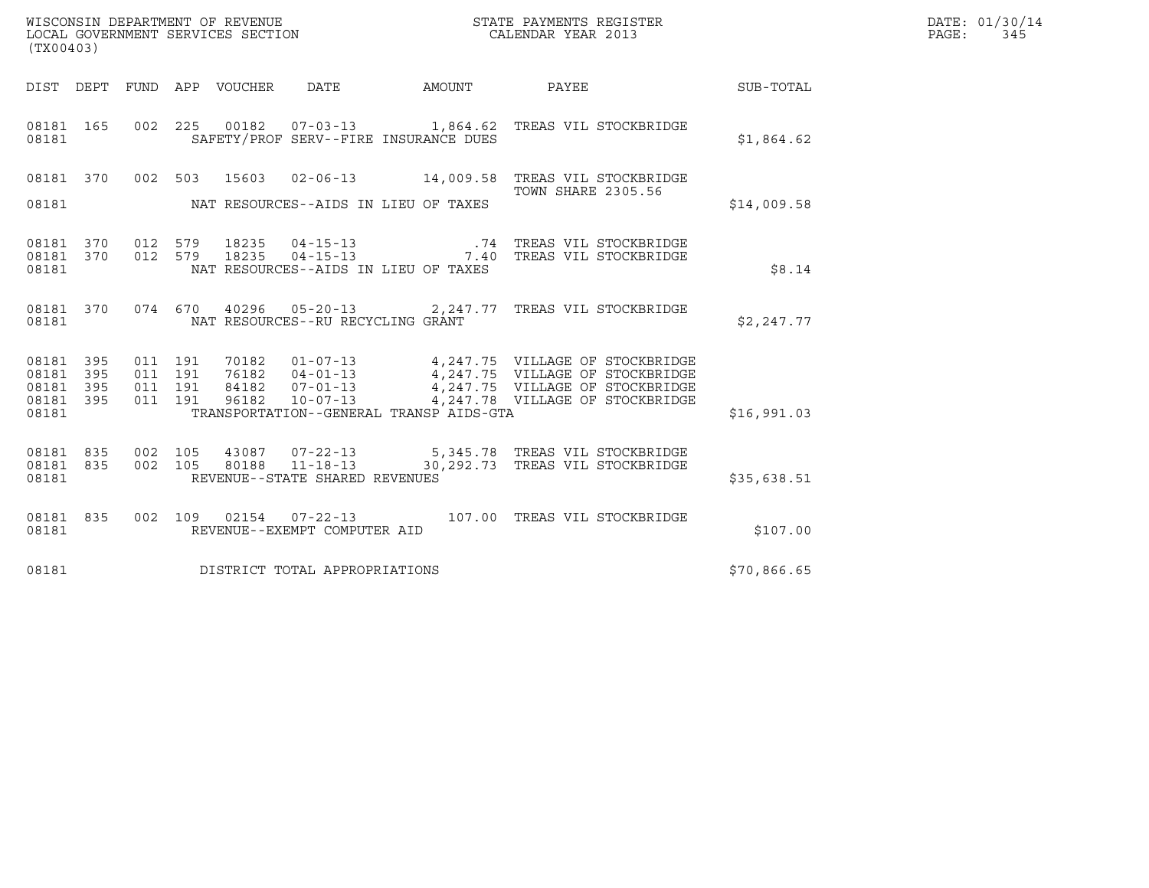| (TX00403)                                             |     |                    |                    |                                         | $\tt WISCONSIM DEPARTMENT OF REVENUE$ $\tt SCAIL GOVERNMENT SERVICES SECTION$ $\tt CALENDAR YEAR$ $2013$     |             | DATE: 01/30/14<br>PAGE: 345 |
|-------------------------------------------------------|-----|--------------------|--------------------|-----------------------------------------|--------------------------------------------------------------------------------------------------------------|-------------|-----------------------------|
|                                                       |     |                    |                    |                                         | DIST DEPT FUND APP VOUCHER DATE AMOUNT PAYEE TO SUB-TOTAL                                                    |             |                             |
| 08181 165<br>08181                                    |     |                    |                    | SAFETY/PROF SERV--FIRE INSURANCE DUES   | 002  225  00182  07-03-13   1,864.62  TREAS VIL STOCKBRIDGE                                                  | \$1,864.62  |                             |
|                                                       |     |                    |                    |                                         | 08181 370 002 503 15603 02-06-13 14,009.58 TREAS VIL STOCKBRIDGE                                             |             |                             |
| 08181                                                 |     |                    |                    | NAT RESOURCES--AIDS IN LIEU OF TAXES    | <b>TOWN SHARE 2305.56</b>                                                                                    | \$14,009.58 |                             |
| 08181 370<br>08181 370<br>08181                       |     |                    | 012 579            | NAT RESOURCES--AIDS IN LIEU OF TAXES    | 18235 04-15-13 .74 TREAS VIL STOCKBRIDGE<br>012 579 18235 04-15-13 7.40 TREAS VIL STOCKBRIDGE                | \$8.14      |                             |
| 08181 370<br>08181                                    |     |                    |                    | NAT RESOURCES--RU RECYCLING GRANT       | 074 670 40296 05-20-13 2,247.77 TREAS VIL STOCKBRIDGE                                                        | \$2,247.77  |                             |
| 08181 395<br>08181 395<br>08181<br>08181 395<br>08181 | 395 | 011 191<br>011 191 | 011 191<br>011 191 | TRANSPORTATION--GENERAL TRANSP AIDS-GTA |                                                                                                              | \$16,991.03 |                             |
| 08181 835<br>08181 835<br>08181                       |     |                    |                    | REVENUE--STATE SHARED REVENUES          | 002 105 43087 07-22-13 5,345.78 TREAS VIL STOCKBRIDGE 002 105 80188 11-18-13 30,292.73 TREAS VIL STOCKBRIDGE | \$35,638.51 |                             |
| 08181 835<br>08181                                    |     |                    |                    | REVENUE--EXEMPT COMPUTER AID            | 002  109  02154  07-22-13  107.00 TREAS VIL STOCKBRIDGE                                                      | \$107.00    |                             |
| 08181                                                 |     |                    |                    | DISTRICT TOTAL APPROPRIATIONS           |                                                                                                              | \$70,866.65 |                             |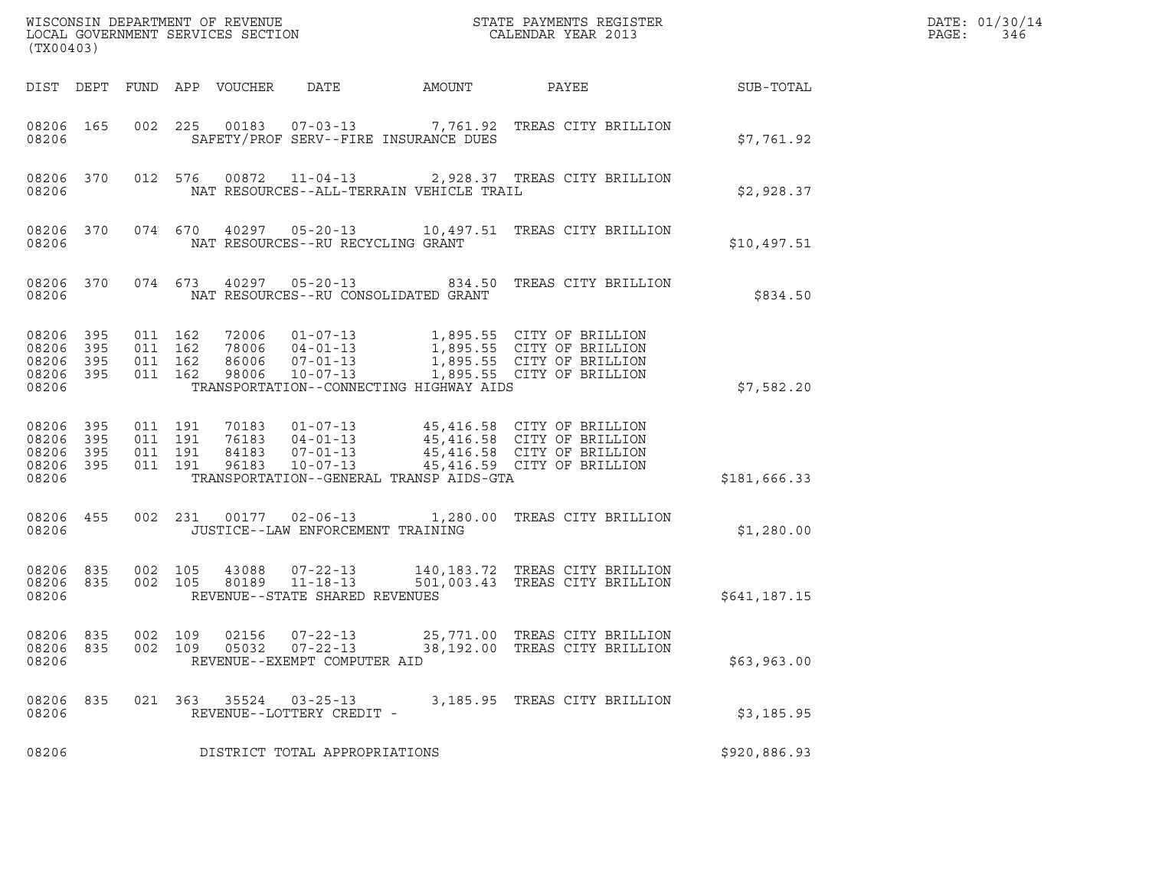| (TX00403)                                 |                          |                                          |         |                                  | WISCONSIN DEPARTMENT OF REVENUE<br>LOCAL GOVERNMENT SERVICES SECTION |                                          | STATE PAYMENTS REGISTER<br>CALENDAR YEAR 2013                                                                                      |              | DATE: 01/30/14<br>PAGE:<br>346 |
|-------------------------------------------|--------------------------|------------------------------------------|---------|----------------------------------|----------------------------------------------------------------------|------------------------------------------|------------------------------------------------------------------------------------------------------------------------------------|--------------|--------------------------------|
|                                           |                          |                                          |         | DIST DEPT FUND APP VOUCHER       | DATE                                                                 | AMOUNT                                   | PAYEE                                                                                                                              | SUB-TOTAL    |                                |
| 08206 165<br>08206                        |                          | 002 225                                  |         |                                  |                                                                      | SAFETY/PROF SERV--FIRE INSURANCE DUES    | 00183  07-03-13  7,761.92  TREAS CITY BRILLION                                                                                     | \$7,761.92   |                                |
| 08206 370<br>08206                        |                          |                                          | 012 576 | 00872                            |                                                                      | NAT RESOURCES--ALL-TERRAIN VEHICLE TRAIL | 11-04-13 2,928.37 TREAS CITY BRILLION                                                                                              | \$2,928.37   |                                |
| 08206                                     | 08206 370                |                                          |         |                                  | NAT RESOURCES--RU RECYCLING GRANT                                    |                                          | 074 670 40297 05-20-13 10,497.51 TREAS CITY BRILLION                                                                               | \$10,497.51  |                                |
| 08206                                     | 08206 370                |                                          | 074 673 |                                  |                                                                      | NAT RESOURCES--RU CONSOLIDATED GRANT     | 40297  05-20-13  834.50  TREAS CITY BRILLION                                                                                       | \$834.50     |                                |
| 08206<br>08206<br>08206<br>08206<br>08206 | 395<br>395<br>395<br>395 | 011 162<br>011 162<br>011 162<br>011 162 |         | 72006<br>78006<br>86006<br>98006 | $07 - 01 - 13$<br>$10 - 07 - 13$                                     | TRANSPORTATION--CONNECTING HIGHWAY AIDS  | 01-07-13 1,895.55 CITY OF BRILLION<br>04-01-13 1,895.55 CITY OF BRILLION<br>1,895.55 CITY OF BRILLION<br>1,895.55 CITY OF BRILLION | \$7,582.20   |                                |
| 08206<br>08206<br>08206<br>08206<br>08206 | 395<br>395<br>395<br>395 | 011 191<br>011 191<br>011 191<br>011 191 |         | 70183<br>84183<br>96183          | 76183 04-01-13<br>$07 - 01 - 13$<br>$10 - 07 - 13$                   | TRANSPORTATION--GENERAL TRANSP AIDS-GTA  | 45,416.58 CITY OF BRILLION<br>45,416.59 CITY OF BRILLION                                                                           | \$181,666.33 |                                |
| 08206 455<br>08206                        |                          |                                          |         |                                  | JUSTICE--LAW ENFORCEMENT TRAINING                                    |                                          | 002 231 00177 02-06-13 1,280.00 TREAS CITY BRILLION                                                                                | \$1,280.00   |                                |
| 08206 835<br>08206<br>08206               | 835                      | 002 105<br>002 105                       |         | 43088<br>80189                   | $07 - 22 - 13$<br>$11 - 18 - 13$<br>REVENUE--STATE SHARED REVENUES   |                                          | 140,183.72 TREAS CITY BRILLION<br>501,003.43 TREAS CITY BRILLION                                                                   | \$641,187.15 |                                |
| 08206<br>08206<br>08206                   | 835<br>835               | 002 109<br>002 109                       |         | 02156<br>05032                   | 07-22-13<br>$07 - 22 - 13$<br>REVENUE--EXEMPT COMPUTER AID           |                                          | 25,771.00 TREAS CITY BRILLION<br>38,192.00 TREAS CITY BRILLION                                                                     | \$63,963.00  |                                |
| 08206 835<br>08206                        |                          |                                          |         |                                  | 021 363 35524 03-25-13<br>REVENUE--LOTTERY CREDIT -                  |                                          | 3,185.95 TREAS CITY BRILLION                                                                                                       | \$3,185.95   |                                |
| 08206                                     |                          |                                          |         |                                  | DISTRICT TOTAL APPROPRIATIONS                                        |                                          |                                                                                                                                    | \$920,886.93 |                                |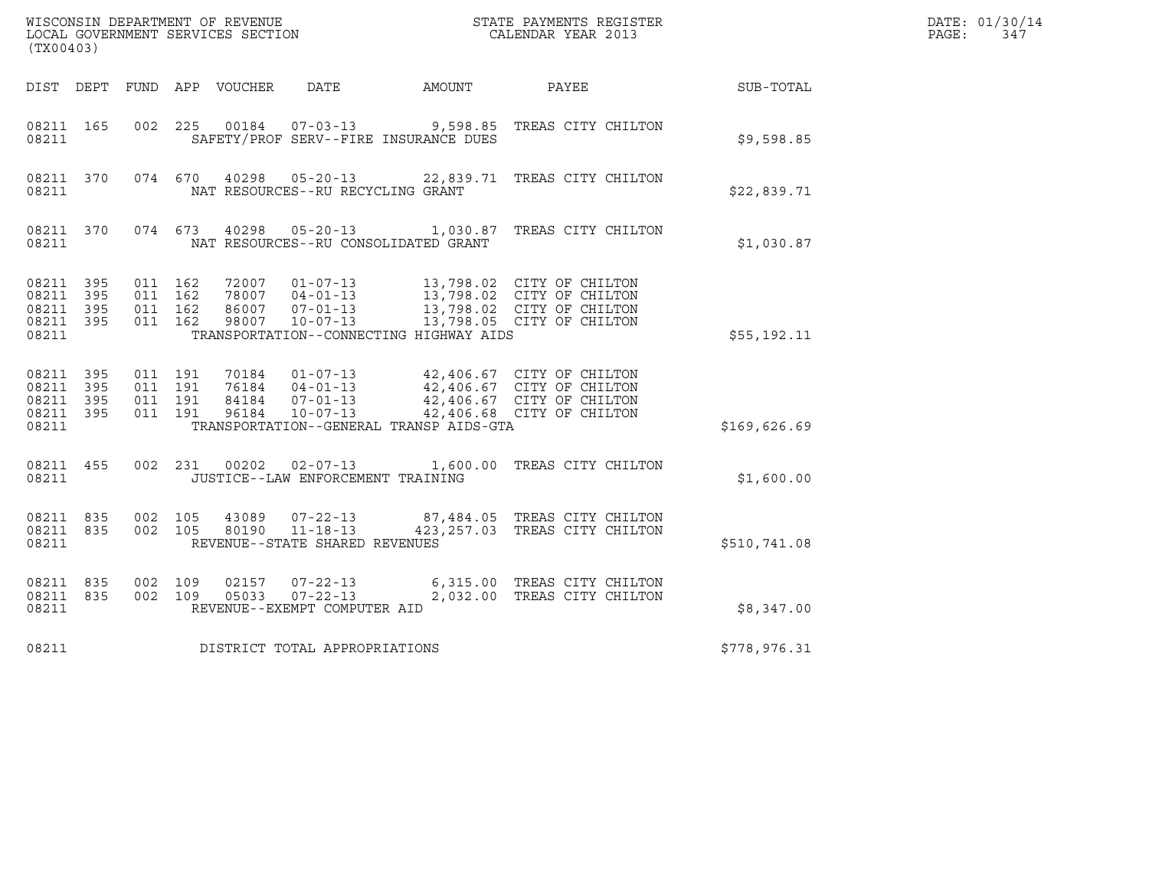| WISCONSIN DEPARTMENT OF REVENUE<br>LOCAL GOVERNMENT SERVICES SECTION<br>(TX00403) |                          |                                          |  |                                  |                                                                      |                                                                     | STATE PAYMENTS REGISTER<br>CALENDAR YEAR 2013                                                                    |              | DATE: 01/30/14<br>PAGE:<br>347 |
|-----------------------------------------------------------------------------------|--------------------------|------------------------------------------|--|----------------------------------|----------------------------------------------------------------------|---------------------------------------------------------------------|------------------------------------------------------------------------------------------------------------------|--------------|--------------------------------|
| DIST DEPT                                                                         |                          |                                          |  | FUND APP VOUCHER                 | DATE                                                                 | AMOUNT                                                              | PAYEE                                                                                                            | SUB-TOTAL    |                                |
| 08211 165<br>08211                                                                |                          | 002 225                                  |  | 00184                            | $07 - 03 - 13$                                                       | SAFETY/PROF SERV--FIRE INSURANCE DUES                               | 9,598.85 TREAS CITY CHILTON                                                                                      | \$9,598.85   |                                |
| 08211 370<br>08211                                                                |                          | 074 670                                  |  | 40298                            | $05 - 20 - 13$<br>NAT RESOURCES--RU RECYCLING GRANT                  |                                                                     | 22,839.71 TREAS CITY CHILTON                                                                                     | \$22,839.71  |                                |
| 08211 370<br>08211                                                                |                          | 074 673                                  |  | 40298                            | $05 - 20 - 13$                                                       | 1,030.87 TREAS CITY CHILTON<br>NAT RESOURCES--RU CONSOLIDATED GRANT | \$1,030.87                                                                                                       |              |                                |
| 08211<br>08211<br>08211<br>08211<br>08211                                         | 395<br>395<br>395<br>395 | 011 162<br>011 162<br>011 162<br>011 162 |  | 72007<br>78007<br>86007<br>98007 | $01 - 07 - 13$<br>$04 - 01 - 13$<br>$07 - 01 - 13$<br>$10 - 07 - 13$ | TRANSPORTATION--CONNECTING HIGHWAY AIDS                             | 13,798.02 CITY OF CHILTON<br>13,798.02 CITY OF CHILTON<br>13,798.02 CITY OF CHILTON<br>13,798.05 CITY OF CHILTON | \$55,192.11  |                                |
| 08211<br>08211<br>08211<br>08211<br>08211                                         | 395<br>395<br>395<br>395 | 011 191<br>011 191<br>011 191<br>011 191 |  | 70184<br>76184<br>84184<br>96184 | $01 - 07 - 13$<br>$04 - 01 - 13$<br>$07 - 01 - 13$<br>$10 - 07 - 13$ | TRANSPORTATION--GENERAL TRANSP AIDS-GTA                             | 42,406.67 CITY OF CHILTON<br>42,406.67 CITY OF CHILTON<br>42,406.67 CITY OF CHILTON<br>42,406.68 CITY OF CHILTON | \$169,626.69 |                                |
| 08211 455<br>08211                                                                |                          | 002 231                                  |  | 00202                            | 02-07-13<br>JUSTICE--LAW ENFORCEMENT TRAINING                        |                                                                     | 1,600.00 TREAS CITY CHILTON                                                                                      | \$1,600.00   |                                |
| 08211 835<br>08211 835<br>08211                                                   |                          | 002 105<br>002 105                       |  | 43089<br>80190                   | $07 - 22 - 13$<br>11-18-13<br>REVENUE--STATE SHARED REVENUES         |                                                                     | 87,484.05 TREAS CITY CHILTON<br>423, 257.03 TREAS CITY CHILTON                                                   | \$510,741.08 |                                |
| 08211 835<br>08211<br>08211                                                       | 835                      | 002 109<br>002 109                       |  | 02157<br>05033                   | $07 - 22 - 13$<br>07-22-13<br>REVENUE--EXEMPT COMPUTER AID           |                                                                     | 6,315.00 TREAS CITY CHILTON<br>2,032.00 TREAS CITY CHILTON                                                       | \$8,347.00   |                                |
| 08211                                                                             |                          |                                          |  |                                  | DISTRICT TOTAL APPROPRIATIONS                                        | \$778,976.31                                                        |                                                                                                                  |              |                                |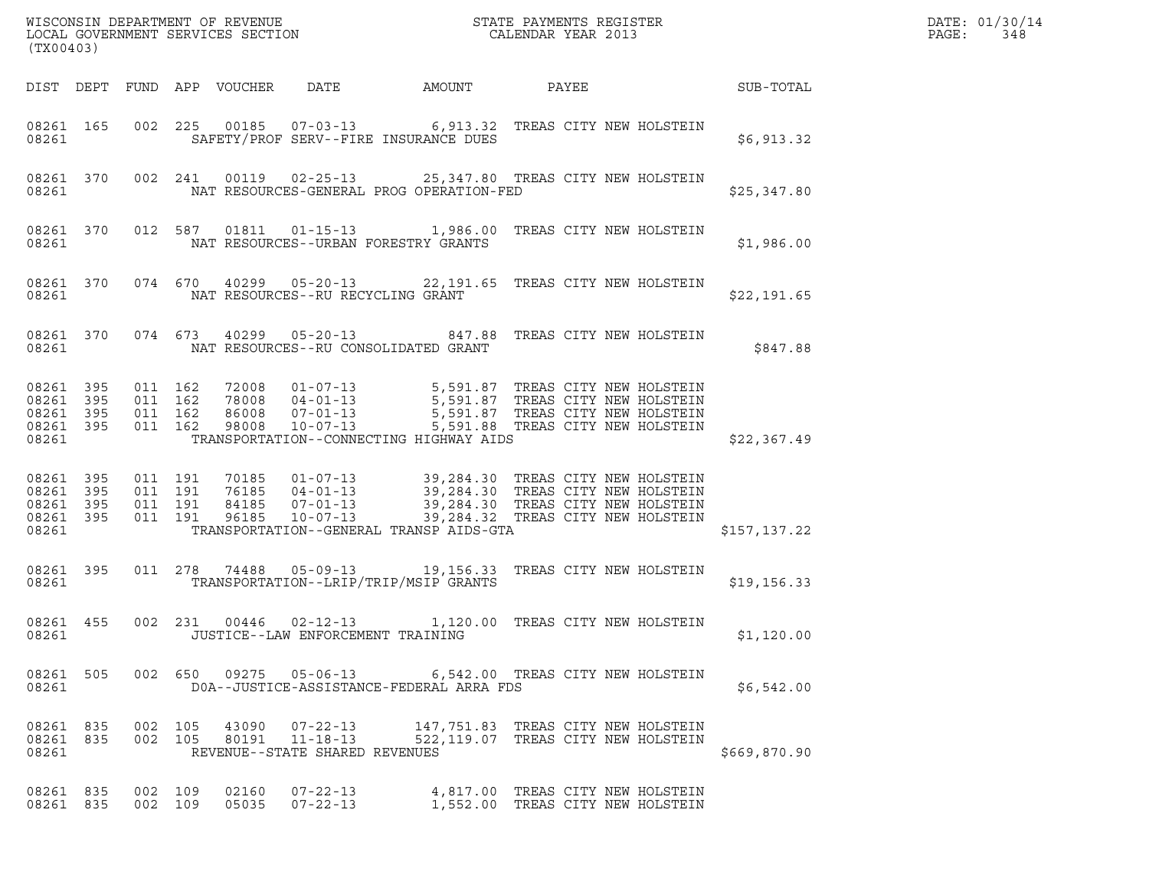| (TX00403)                                                 |           |                               |         |                            |                                                     |                                          |                                                                                                                                                                                                                   |                  | DATE: 01/30/14<br>PAGE:<br>348 |
|-----------------------------------------------------------|-----------|-------------------------------|---------|----------------------------|-----------------------------------------------------|------------------------------------------|-------------------------------------------------------------------------------------------------------------------------------------------------------------------------------------------------------------------|------------------|--------------------------------|
|                                                           |           |                               |         | DIST DEPT FUND APP VOUCHER | DATE                                                | AMOUNT                                   | PAYEE                                                                                                                                                                                                             | <b>SUB-TOTAL</b> |                                |
| 08261 165<br>08261                                        |           |                               |         |                            |                                                     | SAFETY/PROF SERV--FIRE INSURANCE DUES    | 002 225 00185 07-03-13 6,913.32 TREAS CITY NEW HOLSTEIN                                                                                                                                                           | \$6,913.32       |                                |
| 08261                                                     |           |                               |         |                            |                                                     | NAT RESOURCES-GENERAL PROG OPERATION-FED | 08261 370 002 241 00119 02-25-13 25,347.80 TREAS CITY NEW HOLSTEIN                                                                                                                                                | \$25,347.80      |                                |
| 08261                                                     | 08261 370 |                               |         |                            |                                                     | NAT RESOURCES--URBAN FORESTRY GRANTS     | 012 587 01811 01-15-13 1,986.00 TREAS CITY NEW HOLSTEIN                                                                                                                                                           | \$1,986.00       |                                |
| 08261                                                     | 08261 370 |                               |         |                            | NAT RESOURCES--RU RECYCLING GRANT                   |                                          | 074 670 40299 05-20-13 22,191.65 TREAS CITY NEW HOLSTEIN                                                                                                                                                          | \$22,191.65      |                                |
| 08261                                                     | 08261 370 |                               |         |                            |                                                     | NAT RESOURCES--RU CONSOLIDATED GRANT     | 074 673 40299 05-20-13 847.88 TREAS CITY NEW HOLSTEIN                                                                                                                                                             | \$847.88         |                                |
| 08261 395<br>08261 395<br>08261 395<br>08261 395<br>08261 |           | 011 162<br>011 162<br>011 162 | 011 162 |                            |                                                     | TRANSPORTATION--CONNECTING HIGHWAY AIDS  | 72008  01-07-13  5,591.87 TREAS CITY NEW HOLSTEIN<br>78008  04-01-13  5,591.87 TREAS CITY NEW HOLSTEIN<br>86008  07-01-13  5,591.87 TREAS CITY NEW HOLSTEIN<br>.98008  10-07-13  5,591.88 TREAS CITY NEW HOLSTEIN | \$22,367.49      |                                |
| 08261 395<br>08261 395<br>08261 395<br>08261              | 08261 395 | 011 191<br>011 191<br>011 191 | 011 191 |                            |                                                     | TRANSPORTATION--GENERAL TRANSP AIDS-GTA  |                                                                                                                                                                                                                   | \$157,137.22     |                                |
| 08261                                                     | 08261 395 |                               | 011 278 | 74488                      |                                                     | TRANSPORTATION--LRIP/TRIP/MSIP GRANTS    | 05-09-13 19,156.33 TREAS CITY NEW HOLSTEIN                                                                                                                                                                        | \$19,156.33      |                                |
| 08261 455<br>08261                                        |           | 002 231                       |         |                            | 00446 02-12-13<br>JUSTICE--LAW ENFORCEMENT TRAINING |                                          | 1,120.00 TREAS CITY NEW HOLSTEIN                                                                                                                                                                                  | \$1,120.00       |                                |
| 08261                                                     |           |                               |         |                            |                                                     | DOA--JUSTICE-ASSISTANCE-FEDERAL ARRA FDS | 08261 505 002 650 09275 05-06-13 6,542.00 TREAS CITY NEW HOLSTEIN                                                                                                                                                 | \$6,542.00       |                                |
| 08261                                                     | 08261 835 | 08261 835 002 105             |         |                            | REVENUE--STATE SHARED REVENUES                      |                                          | 43090  07-22-13  147,751.83  TREAS CITY NEW HOLSTEIN<br>002 105 80191 11-18-13 522,119.07 TREAS CITY NEW HOLSTEIN                                                                                                 | \$669,870.90     |                                |
| 08261 835<br>08261 835                                    |           | 002 109<br>002 109            |         |                            | 05035  07-22-13                                     |                                          | 02160  07-22-13  4,817.00 TREAS CITY NEW HOLSTEIN<br>1,552.00 TREAS CITY NEW HOLSTEIN                                                                                                                             |                  |                                |